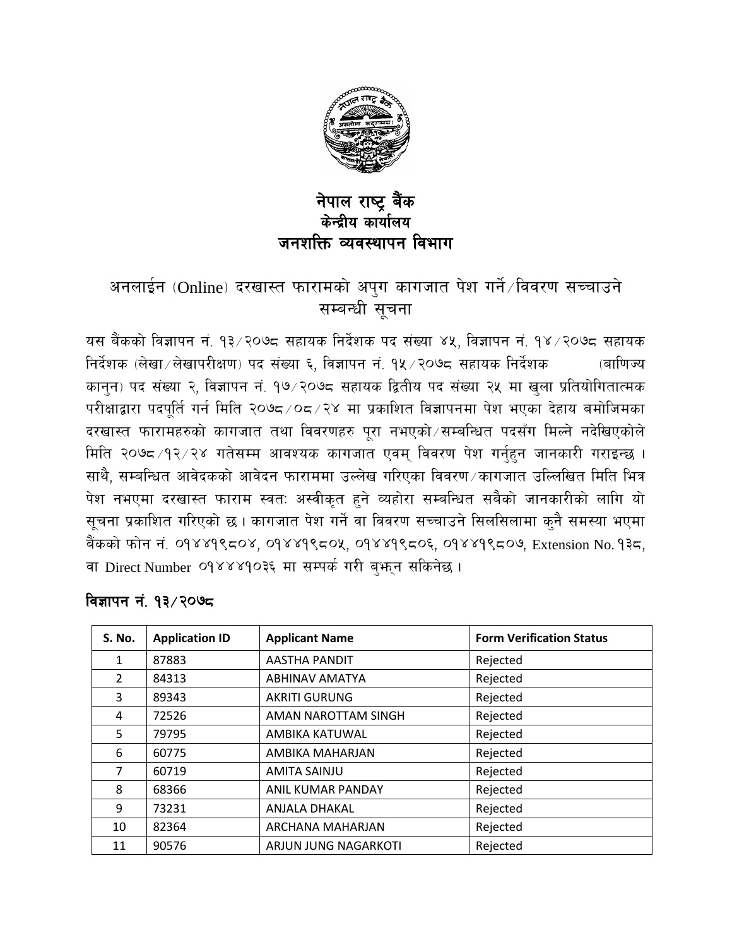

## नेपाल राष्ट्र बैंक केन्द्रीय कार्यालय जनशक्ति व्यवस्थापन विभाग

## अनलाईन (Online) दरखास्त फारामको अपुग कागजात पेश गर्ने $\sqrt{a}$ वरण सच्चाउने सम्बन्धी सचना

यस बैंकको विज्ञापन नं. १३/२०७८ सहायक निर्देशक पद संख्या ४५, विज्ञापन नं. १४/२०७८ सहायक निर्देशक (लेखा $\angle$ लेखापरीक्षण) पद संख्या ६, विज्ञापन नं. १५ $\angle$ २०७८ सहायक निर्देशक  $\qquad$  (बाणिज्य कानुन) पद संख्या २, विज्ञापन नं. १७/२०७८ सहायक द्वितीय पद संख्या २५ मा खुला प्रतियोगितात्मक परीक्षाद्वारा पदपूर्ति गर्न मिति २०७८/०८/२४ मा प्रकाशित विज्ञापनमा पेश भएका देहाय बमोजिमका दरखास्त फारामहरुको कागजात तथा विवरणहरु पूरा नभएको सम्बन्धित पदसँग मिल्ने नदेखिएकोले मिति २०७८/१२/२४ गतेसम्म आवश्यक कागजात एवम् विवरण पेश गर्नुहुन जानकारी गराइन्छ । साथै, सम्बन्धित आवेदकको आवेदन फाराममा उल्लेख गरिएका विवरण ∕कागजात उल्लिखित मिति भित्र पेश नभएमा दरखास्त फाराम स्वत: अस्वीकृत हुने व्यहोरा सम्बन्धित सबैको जानकारीको लागि यो सूचना प्रकाशित गरिएको छ । कागजात पेश गर्ने वा विवरण सच्चाउने सिलसिलामा क्नै समस्या भएमा बैंकको फोन नं. ०१४४१९८०४, ०१४४१९८०५, ०१४४१९८०६, ०१४४१९८०७, Extension No. १३८, वा Direct Number 09४४४90३६ मा सम्पर्क गरी ब्<sub>भि</sub>न सकिनेछ।

| <b>S. No.</b> | <b>Application ID</b> | <b>Applicant Name</b> | <b>Form Verification Status</b> |
|---------------|-----------------------|-----------------------|---------------------------------|
| 1             | 87883                 | <b>AASTHA PANDIT</b>  | Rejected                        |
| $\mathcal{L}$ | 84313                 | ABHINAV AMATYA        | Rejected                        |
| 3             | 89343                 | <b>AKRITI GURUNG</b>  | Rejected                        |
| 4             | 72526                 | AMAN NAROTTAM SINGH   | Rejected                        |
| 5             | 79795                 | AMBIKA KATUWAL        | Rejected                        |
| 6             | 60775                 | AMBIKA MAHARJAN       | Rejected                        |
| 7             | 60719                 | <b>AMITA SAINJU</b>   | Rejected                        |
| 8             | 68366                 | ANIL KUMAR PANDAY     | Rejected                        |
| 9             | 73231                 | ANJALA DHAKAL         | Rejected                        |
| 10            | 82364                 | ARCHANA MAHARJAN      | Rejected                        |
| 11            | 90576                 | ARJUN JUNG NAGARKOTI  | Rejected                        |

#### विज्ञापन नं. १३ ∕२०७८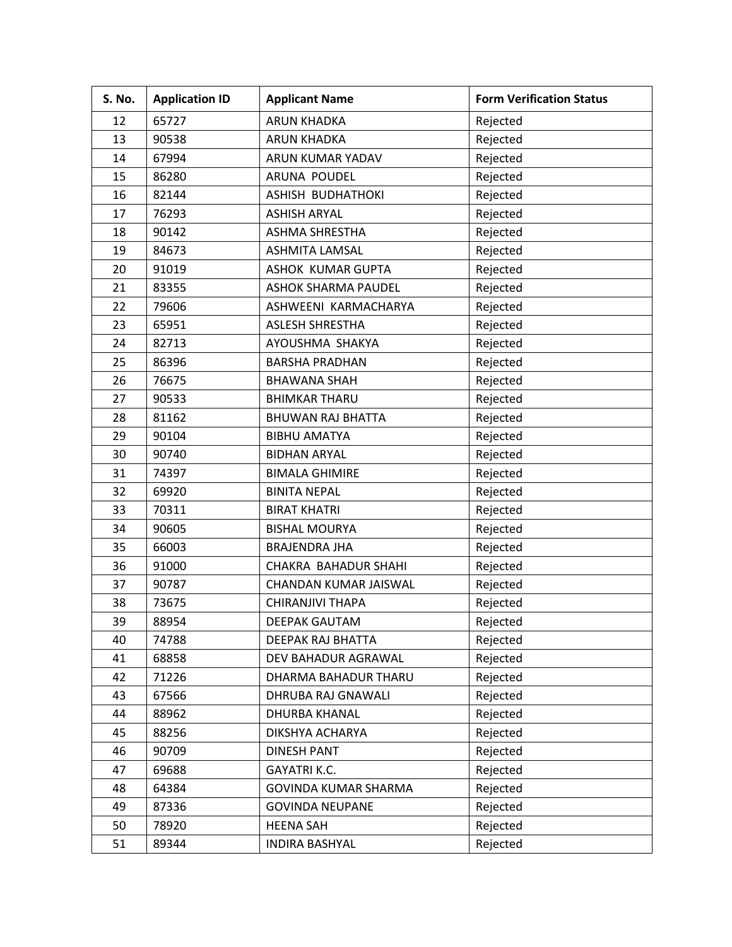| S. No. | <b>Application ID</b> | <b>Applicant Name</b>      | <b>Form Verification Status</b> |
|--------|-----------------------|----------------------------|---------------------------------|
| 12     | 65727                 | <b>ARUN KHADKA</b>         | Rejected                        |
| 13     | 90538                 | <b>ARUN KHADKA</b>         | Rejected                        |
| 14     | 67994                 | ARUN KUMAR YADAV           | Rejected                        |
| 15     | 86280                 | ARUNA POUDEL               | Rejected                        |
| 16     | 82144                 | ASHISH BUDHATHOKI          | Rejected                        |
| 17     | 76293                 | <b>ASHISH ARYAL</b>        | Rejected                        |
| 18     | 90142                 | <b>ASHMA SHRESTHA</b>      | Rejected                        |
| 19     | 84673                 | <b>ASHMITA LAMSAL</b>      | Rejected                        |
| 20     | 91019                 | ASHOK KUMAR GUPTA          | Rejected                        |
| 21     | 83355                 | <b>ASHOK SHARMA PAUDEL</b> | Rejected                        |
| 22     | 79606                 | ASHWEENI KARMACHARYA       | Rejected                        |
| 23     | 65951                 | <b>ASLESH SHRESTHA</b>     | Rejected                        |
| 24     | 82713                 | AYOUSHMA SHAKYA            | Rejected                        |
| 25     | 86396                 | <b>BARSHA PRADHAN</b>      | Rejected                        |
| 26     | 76675                 | <b>BHAWANA SHAH</b>        | Rejected                        |
| 27     | 90533                 | <b>BHIMKAR THARU</b>       | Rejected                        |
| 28     | 81162                 | <b>BHUWAN RAJ BHATTA</b>   | Rejected                        |
| 29     | 90104                 | <b>BIBHU AMATYA</b>        | Rejected                        |
| 30     | 90740                 | <b>BIDHAN ARYAL</b>        | Rejected                        |
| 31     | 74397                 | <b>BIMALA GHIMIRE</b>      | Rejected                        |
| 32     | 69920                 | <b>BINITA NEPAL</b>        | Rejected                        |
| 33     | 70311                 | <b>BIRAT KHATRI</b>        | Rejected                        |
| 34     | 90605                 | <b>BISHAL MOURYA</b>       | Rejected                        |
| 35     | 66003                 | <b>BRAJENDRA JHA</b>       | Rejected                        |
| 36     | 91000                 | CHAKRA BAHADUR SHAHI       | Rejected                        |
| 37     | 90787                 | CHANDAN KUMAR JAISWAL      | Rejected                        |
| 38     | 73675                 | CHIRANJIVI THAPA           | Rejected                        |
| 39     | 88954                 | DEEPAK GAUTAM              | Rejected                        |
| 40     | 74788                 | DEEPAK RAJ BHATTA          | Rejected                        |
| 41     | 68858                 | DEV BAHADUR AGRAWAL        | Rejected                        |
| 42     | 71226                 | DHARMA BAHADUR THARU       | Rejected                        |
| 43     | 67566                 | DHRUBA RAJ GNAWALI         | Rejected                        |
| 44     | 88962                 | <b>DHURBA KHANAL</b>       | Rejected                        |
| 45     | 88256                 | DIKSHYA ACHARYA            | Rejected                        |
| 46     | 90709                 | <b>DINESH PANT</b>         | Rejected                        |
| 47     | 69688                 | <b>GAYATRI K.C.</b>        | Rejected                        |
| 48     | 64384                 | GOVINDA KUMAR SHARMA       | Rejected                        |
| 49     | 87336                 | <b>GOVINDA NEUPANE</b>     | Rejected                        |
| 50     | 78920                 | <b>HEENA SAH</b>           | Rejected                        |
| 51     | 89344                 | <b>INDIRA BASHYAL</b>      | Rejected                        |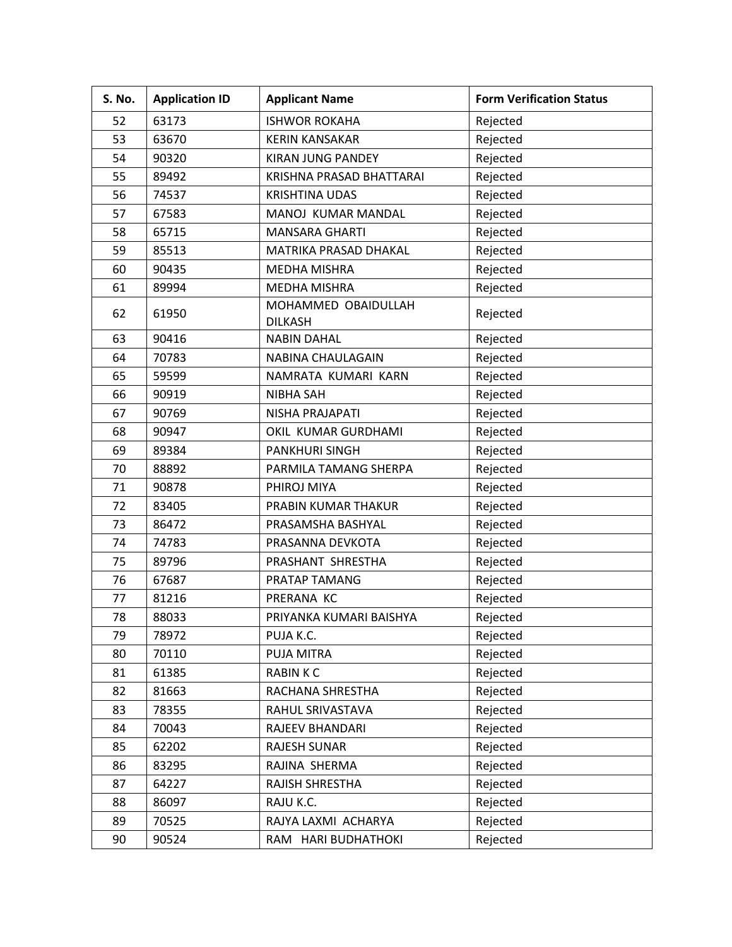| S. No. | <b>Application ID</b> | <b>Applicant Name</b>                 | <b>Form Verification Status</b> |
|--------|-----------------------|---------------------------------------|---------------------------------|
| 52     | 63173                 | <b>ISHWOR ROKAHA</b>                  | Rejected                        |
| 53     | 63670                 | <b>KERIN KANSAKAR</b>                 | Rejected                        |
| 54     | 90320                 | KIRAN JUNG PANDEY                     | Rejected                        |
| 55     | 89492                 | KRISHNA PRASAD BHATTARAI              | Rejected                        |
| 56     | 74537                 | <b>KRISHTINA UDAS</b>                 | Rejected                        |
| 57     | 67583                 | MANOJ KUMAR MANDAL                    | Rejected                        |
| 58     | 65715                 | <b>MANSARA GHARTI</b>                 | Rejected                        |
| 59     | 85513                 | MATRIKA PRASAD DHAKAL                 | Rejected                        |
| 60     | 90435                 | <b>MEDHA MISHRA</b>                   | Rejected                        |
| 61     | 89994                 | <b>MEDHA MISHRA</b>                   | Rejected                        |
| 62     | 61950                 | MOHAMMED OBAIDULLAH<br><b>DILKASH</b> | Rejected                        |
| 63     | 90416                 | <b>NABIN DAHAL</b>                    | Rejected                        |
| 64     | 70783                 | NABINA CHAULAGAIN                     | Rejected                        |
| 65     | 59599                 | NAMRATA KUMARI KARN                   | Rejected                        |
| 66     | 90919                 | <b>NIBHA SAH</b>                      | Rejected                        |
| 67     | 90769                 | NISHA PRAJAPATI                       | Rejected                        |
| 68     | 90947                 | OKIL KUMAR GURDHAMI                   | Rejected                        |
| 69     | 89384                 | <b>PANKHURI SINGH</b>                 | Rejected                        |
| 70     | 88892                 | PARMILA TAMANG SHERPA                 | Rejected                        |
| 71     | 90878                 | PHIROJ MIYA                           | Rejected                        |
| 72     | 83405                 | PRABIN KUMAR THAKUR                   | Rejected                        |
| 73     | 86472                 | PRASAMSHA BASHYAL                     | Rejected                        |
| 74     | 74783                 | PRASANNA DEVKOTA                      | Rejected                        |
| 75     | 89796                 | PRASHANT SHRESTHA                     | Rejected                        |
| 76     | 67687                 | PRATAP TAMANG                         | Rejected                        |
| 77     | 81216                 | PRERANA KC                            | Rejected                        |
| 78     | 88033                 | PRIYANKA KUMARI BAISHYA               | Rejected                        |
| 79     | 78972                 | PUJA K.C.                             | Rejected                        |
| 80     | 70110                 | PUJA MITRA                            | Rejected                        |
| 81     | 61385                 | <b>RABINKC</b>                        | Rejected                        |
| 82     | 81663                 | RACHANA SHRESTHA                      | Rejected                        |
| 83     | 78355                 | RAHUL SRIVASTAVA                      | Rejected                        |
| 84     | 70043                 | RAJEEV BHANDARI                       | Rejected                        |
| 85     | 62202                 | <b>RAJESH SUNAR</b>                   | Rejected                        |
| 86     | 83295                 | RAJINA SHERMA                         | Rejected                        |
| 87     | 64227                 | RAJISH SHRESTHA                       | Rejected                        |
| 88     | 86097                 | RAJU K.C.                             | Rejected                        |
| 89     | 70525                 | RAJYA LAXMI ACHARYA                   | Rejected                        |
| 90     | 90524                 | RAM HARI BUDHATHOKI                   | Rejected                        |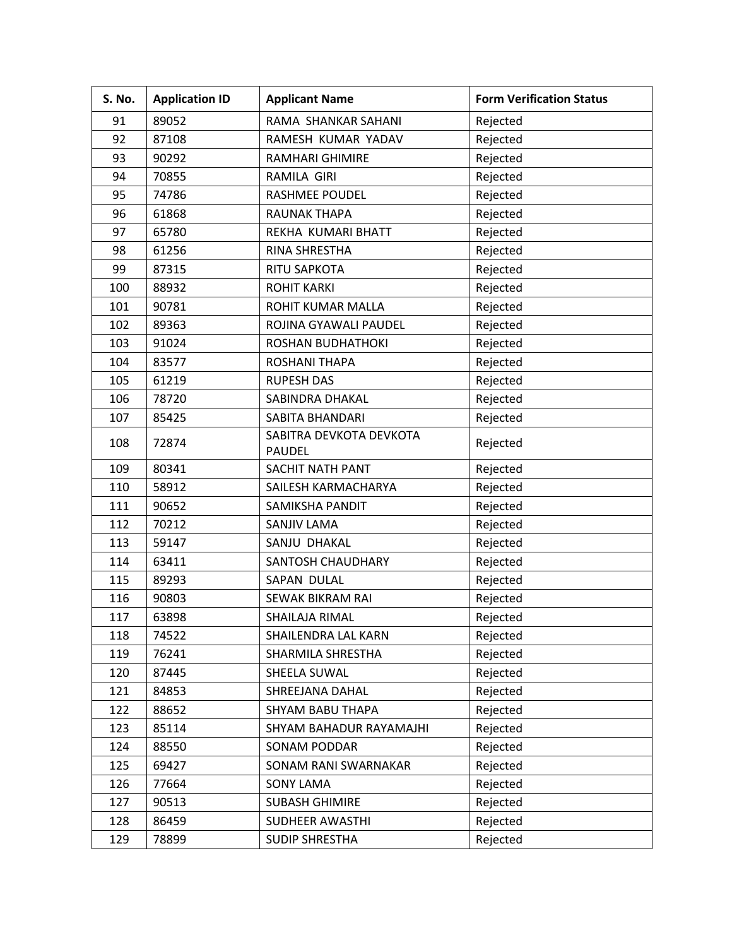| S. No. | <b>Application ID</b> | <b>Applicant Name</b>                    | <b>Form Verification Status</b> |
|--------|-----------------------|------------------------------------------|---------------------------------|
| 91     | 89052                 | RAMA SHANKAR SAHANI                      | Rejected                        |
| 92     | 87108                 | RAMESH KUMAR YADAV                       | Rejected                        |
| 93     | 90292                 | <b>RAMHARI GHIMIRE</b>                   | Rejected                        |
| 94     | 70855                 | RAMILA GIRI                              | Rejected                        |
| 95     | 74786                 | <b>RASHMEE POUDEL</b>                    | Rejected                        |
| 96     | 61868                 | <b>RAUNAK THAPA</b>                      | Rejected                        |
| 97     | 65780                 | REKHA KUMARI BHATT                       | Rejected                        |
| 98     | 61256                 | RINA SHRESTHA                            | Rejected                        |
| 99     | 87315                 | RITU SAPKOTA                             | Rejected                        |
| 100    | 88932                 | <b>ROHIT KARKI</b>                       | Rejected                        |
| 101    | 90781                 | ROHIT KUMAR MALLA                        | Rejected                        |
| 102    | 89363                 | ROJINA GYAWALI PAUDEL                    | Rejected                        |
| 103    | 91024                 | ROSHAN BUDHATHOKI                        | Rejected                        |
| 104    | 83577                 | <b>ROSHANI THAPA</b>                     | Rejected                        |
| 105    | 61219                 | <b>RUPESH DAS</b>                        | Rejected                        |
| 106    | 78720                 | SABINDRA DHAKAL                          | Rejected                        |
| 107    | 85425                 | <b>SABITA BHANDARI</b>                   | Rejected                        |
| 108    | 72874                 | SABITRA DEVKOTA DEVKOTA<br><b>PAUDEL</b> | Rejected                        |
| 109    | 80341                 | SACHIT NATH PANT                         | Rejected                        |
| 110    | 58912                 | SAILESH KARMACHARYA                      | Rejected                        |
| 111    | 90652                 | SAMIKSHA PANDIT                          | Rejected                        |
| 112    | 70212                 | <b>SANJIV LAMA</b>                       | Rejected                        |
| 113    | 59147                 | SANJU DHAKAL                             | Rejected                        |
| 114    | 63411                 | <b>SANTOSH CHAUDHARY</b>                 | Rejected                        |
| 115    | 89293                 | SAPAN DULAL                              | Rejected                        |
| 116    | 90803                 | <b>SEWAK BIKRAM RAI</b>                  | Rejected                        |
| 117    | 63898                 | SHAILAJA RIMAL                           | Rejected                        |
| 118    | 74522                 | SHAILENDRA LAL KARN                      | Rejected                        |
| 119    | 76241                 | SHARMILA SHRESTHA                        | Rejected                        |
| 120    | 87445                 | SHEELA SUWAL                             | Rejected                        |
| 121    | 84853                 | SHREEJANA DAHAL                          | Rejected                        |
| 122    | 88652                 | SHYAM BABU THAPA                         | Rejected                        |
| 123    | 85114                 | SHYAM BAHADUR RAYAMAJHI                  | Rejected                        |
| 124    | 88550                 | <b>SONAM PODDAR</b>                      | Rejected                        |
| 125    | 69427                 | SONAM RANI SWARNAKAR                     | Rejected                        |
| 126    | 77664                 | <b>SONY LAMA</b>                         | Rejected                        |
| 127    | 90513                 | <b>SUBASH GHIMIRE</b>                    | Rejected                        |
| 128    | 86459                 | SUDHEER AWASTHI                          | Rejected                        |
| 129    | 78899                 | <b>SUDIP SHRESTHA</b>                    | Rejected                        |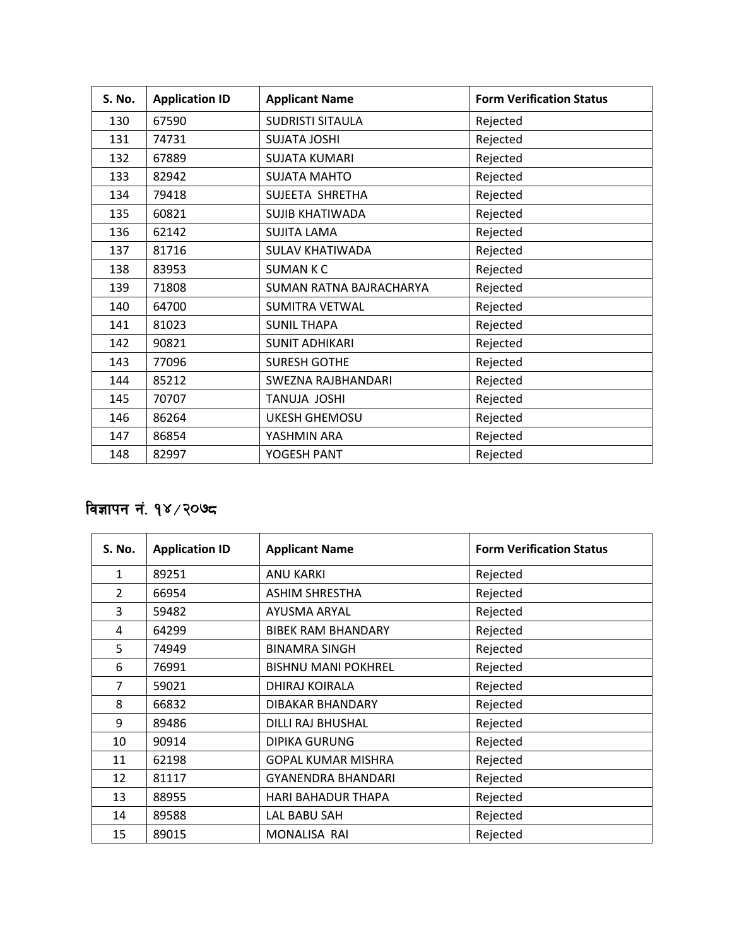| <b>S. No.</b> | <b>Application ID</b> | <b>Applicant Name</b>   | <b>Form Verification Status</b> |
|---------------|-----------------------|-------------------------|---------------------------------|
| 130           | 67590                 | <b>SUDRISTI SITAULA</b> | Rejected                        |
| 131           | 74731                 | <b>SUJATA JOSHI</b>     | Rejected                        |
| 132           | 67889                 | <b>SUJATA KUMARI</b>    | Rejected                        |
| 133           | 82942                 | <b>SUJATA MAHTO</b>     | Rejected                        |
| 134           | 79418                 | SUJEETA SHRETHA         | Rejected                        |
| 135           | 60821                 | <b>SUJIB KHATIWADA</b>  | Rejected                        |
| 136           | 62142                 | <b>SUJITA LAMA</b>      | Rejected                        |
| 137           | 81716                 | <b>SULAV KHATIWADA</b>  | Rejected                        |
| 138           | 83953                 | <b>SUMANKC</b>          | Rejected                        |
| 139           | 71808                 | SUMAN RATNA BAJRACHARYA | Rejected                        |
| 140           | 64700                 | <b>SUMITRA VETWAL</b>   | Rejected                        |
| 141           | 81023                 | <b>SUNIL THAPA</b>      | Rejected                        |
| 142           | 90821                 | <b>SUNIT ADHIKARI</b>   | Rejected                        |
| 143           | 77096                 | <b>SURESH GOTHE</b>     | Rejected                        |
| 144           | 85212                 | SWEZNA RAJBHANDARI      | Rejected                        |
| 145           | 70707                 | <b>TANUJA JOSHI</b>     | Rejected                        |
| 146           | 86264                 | <b>UKESH GHEMOSU</b>    | Rejected                        |
| 147           | 86854                 | YASHMIN ARA             | Rejected                        |
| 148           | 82997                 | YOGESH PANT             | Rejected                        |

## विज्ञापन नं. १४/२०७८

| S. No.        | <b>Application ID</b> | <b>Applicant Name</b>      | <b>Form Verification Status</b> |
|---------------|-----------------------|----------------------------|---------------------------------|
| $\mathbf{1}$  | 89251                 | ANU KARKI                  | Rejected                        |
| $\mathcal{P}$ | 66954                 | <b>ASHIM SHRESTHA</b>      | Rejected                        |
| 3             | 59482                 | AYUSMA ARYAL               | Rejected                        |
| 4             | 64299                 | <b>BIBEK RAM BHANDARY</b>  | Rejected                        |
| 5             | 74949                 | <b>BINAMRA SINGH</b>       | Rejected                        |
| 6             | 76991                 | <b>BISHNU MANI POKHREL</b> | Rejected                        |
| 7             | 59021                 | DHIRAJ KOIRALA             | Rejected                        |
| 8             | 66832                 | DIBAKAR BHANDARY           | Rejected                        |
| 9             | 89486                 | DILLI RAJ BHUSHAL          | Rejected                        |
| 10            | 90914                 | <b>DIPIKA GURUNG</b>       | Rejected                        |
| 11            | 62198                 | <b>GOPAL KUMAR MISHRA</b>  | Rejected                        |
| 12            | 81117                 | <b>GYANENDRA BHANDARI</b>  | Rejected                        |
| 13            | 88955                 | <b>HARI BAHADUR THAPA</b>  | Rejected                        |
| 14            | 89588                 | LAL BABU SAH               | Rejected                        |
| 15            | 89015                 | MONALISA RAI               | Rejected                        |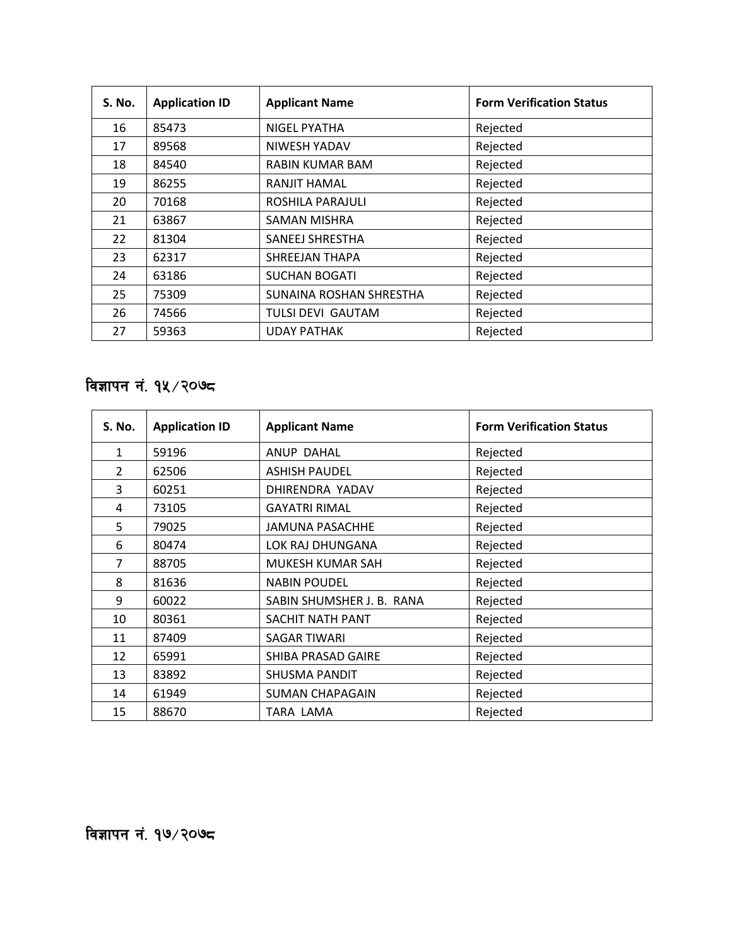| <b>S. No.</b> | <b>Application ID</b> | <b>Applicant Name</b>    | <b>Form Verification Status</b> |
|---------------|-----------------------|--------------------------|---------------------------------|
| 16            | 85473                 | <b>NIGEL PYATHA</b>      | Rejected                        |
| 17            | 89568                 | NIWESH YADAV             | Rejected                        |
| 18            | 84540                 | RABIN KUMAR BAM          | Rejected                        |
| 19            | 86255                 | RANJIT HAMAL             | Rejected                        |
| 20            | 70168                 | ROSHILA PARAJULI         | Rejected                        |
| 21            | 63867                 | SAMAN MISHRA             | Rejected                        |
| 22            | 81304                 | SANEEJ SHRESTHA          | Rejected                        |
| 23            | 62317                 | SHREEJAN THAPA           | Rejected                        |
| 24            | 63186                 | <b>SUCHAN BOGATI</b>     | Rejected                        |
| 25            | 75309                 | SUNAINA ROSHAN SHRESTHA  | Rejected                        |
| 26            | 74566                 | <b>TULSI DEVI GAUTAM</b> | Rejected                        |
| 27            | 59363                 | <b>UDAY PATHAK</b>       | Rejected                        |

# विज्ञापन नं. १४ $\sqrt{2}$ ०७ $\,$ द

| S. No.        | <b>Application ID</b> | <b>Applicant Name</b>     | <b>Form Verification Status</b> |
|---------------|-----------------------|---------------------------|---------------------------------|
| 1             | 59196                 | ANUP DAHAL                | Rejected                        |
| $\mathcal{P}$ | 62506                 | <b>ASHISH PAUDEL</b>      | Rejected                        |
| 3             | 60251                 | DHIRENDRA YADAV           | Rejected                        |
| 4             | 73105                 | <b>GAYATRI RIMAL</b>      | Rejected                        |
| 5             | 79025                 | JAMUNA PASACHHE           | Rejected                        |
| 6             | 80474                 | LOK RAJ DHUNGANA          | Rejected                        |
| 7             | 88705                 | MUKESH KUMAR SAH          | Rejected                        |
| 8             | 81636                 | <b>NABIN POUDEL</b>       | Rejected                        |
| 9             | 60022                 | SABIN SHUMSHER J. B. RANA | Rejected                        |
| 10            | 80361                 | SACHIT NATH PANT          | Rejected                        |
| 11            | 87409                 | <b>SAGAR TIWARI</b>       | Rejected                        |
| 12            | 65991                 | SHIBA PRASAD GAIRE        | Rejected                        |
| 13            | 83892                 | SHUSMA PANDIT             | Rejected                        |
| 14            | 61949                 | SUMAN CHAPAGAIN           | Rejected                        |
| 15            | 88670                 | TARA LAMA                 | Rejected                        |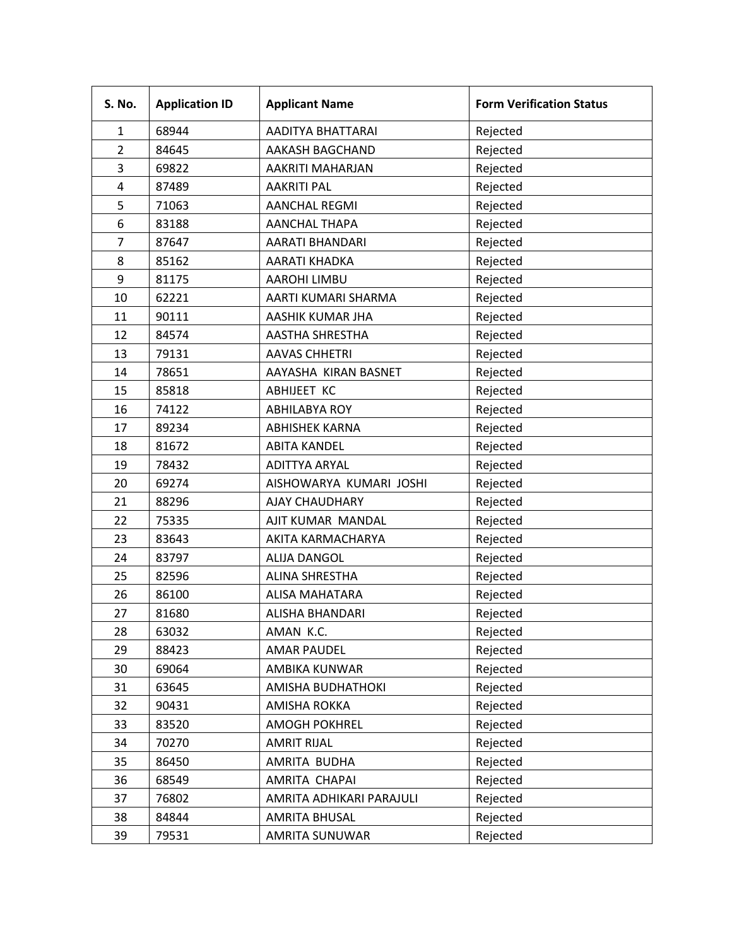| S. No.         | <b>Application ID</b> | <b>Applicant Name</b>    | <b>Form Verification Status</b> |
|----------------|-----------------------|--------------------------|---------------------------------|
| $\mathbf{1}$   | 68944                 | AADITYA BHATTARAI        | Rejected                        |
| $\overline{2}$ | 84645                 | AAKASH BAGCHAND          | Rejected                        |
| 3              | 69822                 | AAKRITI MAHARJAN         | Rejected                        |
| 4              | 87489                 | <b>AAKRITI PAL</b>       | Rejected                        |
| 5              | 71063                 | <b>AANCHAL REGMI</b>     | Rejected                        |
| 6              | 83188                 | <b>AANCHAL THAPA</b>     | Rejected                        |
| $\overline{7}$ | 87647                 | AARATI BHANDARI          | Rejected                        |
| 8              | 85162                 | <b>AARATI KHADKA</b>     | Rejected                        |
| 9              | 81175                 | AAROHI LIMBU             | Rejected                        |
| 10             | 62221                 | AARTI KUMARI SHARMA      | Rejected                        |
| 11             | 90111                 | AASHIK KUMAR JHA         | Rejected                        |
| 12             | 84574                 | <b>AASTHA SHRESTHA</b>   | Rejected                        |
| 13             | 79131                 | <b>AAVAS CHHETRI</b>     | Rejected                        |
| 14             | 78651                 | AAYASHA KIRAN BASNET     | Rejected                        |
| 15             | 85818                 | ABHIJEET KC              | Rejected                        |
| 16             | 74122                 | <b>ABHILABYA ROY</b>     | Rejected                        |
| 17             | 89234                 | <b>ABHISHEK KARNA</b>    | Rejected                        |
| 18             | 81672                 | <b>ABITA KANDEL</b>      | Rejected                        |
| 19             | 78432                 | <b>ADITTYA ARYAL</b>     | Rejected                        |
| 20             | 69274                 | AISHOWARYA KUMARI JOSHI  | Rejected                        |
| 21             | 88296                 | <b>AJAY CHAUDHARY</b>    | Rejected                        |
| 22             | 75335                 | AJIT KUMAR MANDAL        | Rejected                        |
| 23             | 83643                 | AKITA KARMACHARYA        | Rejected                        |
| 24             | 83797                 | <b>ALIJA DANGOL</b>      | Rejected                        |
| 25             | 82596                 | ALINA SHRESTHA           | Rejected                        |
| 26             | 86100                 | ALISA MAHATARA           | Rejected                        |
| 27             | 81680                 | <b>ALISHA BHANDARI</b>   | Rejected                        |
| 28             | 63032                 | AMAN K.C.                | Rejected                        |
| 29             | 88423                 | <b>AMAR PAUDEL</b>       | Rejected                        |
| 30             | 69064                 | AMBIKA KUNWAR            | Rejected                        |
| 31             | 63645                 | AMISHA BUDHATHOKI        | Rejected                        |
| 32             | 90431                 | AMISHA ROKKA             | Rejected                        |
| 33             | 83520                 | <b>AMOGH POKHREL</b>     | Rejected                        |
| 34             | 70270                 | <b>AMRIT RIJAL</b>       | Rejected                        |
| 35             | 86450                 | AMRITA BUDHA             | Rejected                        |
| 36             | 68549                 | AMRITA CHAPAI            | Rejected                        |
| 37             | 76802                 | AMRITA ADHIKARI PARAJULI | Rejected                        |
| 38             | 84844                 | <b>AMRITA BHUSAL</b>     | Rejected                        |
| 39             | 79531                 | AMRITA SUNUWAR           | Rejected                        |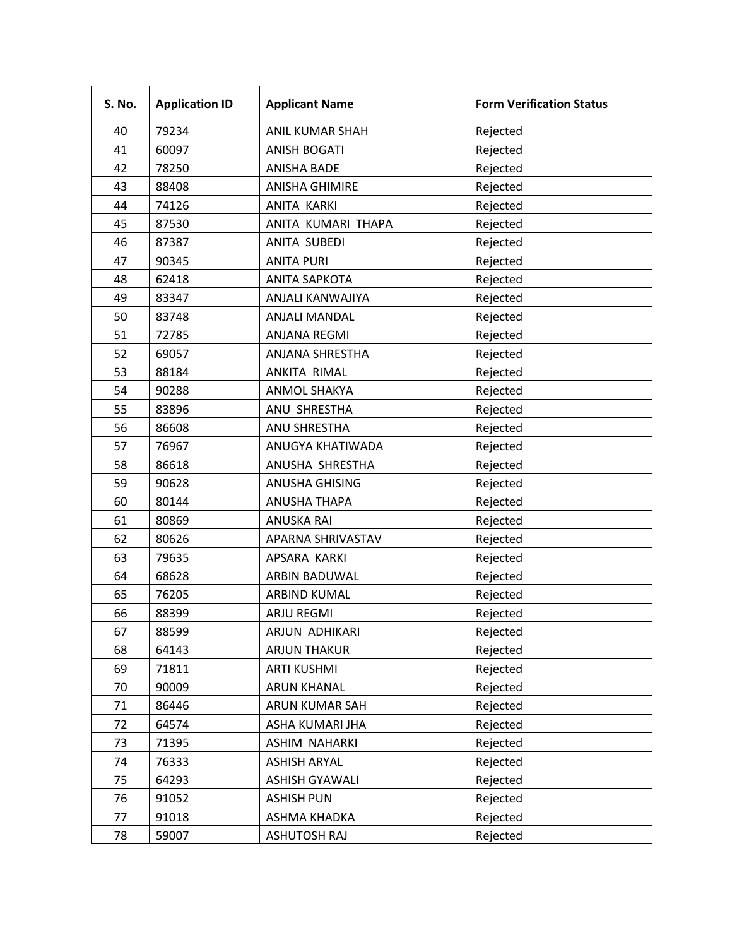| S. No. | <b>Application ID</b> | <b>Applicant Name</b>  | <b>Form Verification Status</b> |
|--------|-----------------------|------------------------|---------------------------------|
| 40     | 79234                 | <b>ANIL KUMAR SHAH</b> | Rejected                        |
| 41     | 60097                 | <b>ANISH BOGATI</b>    | Rejected                        |
| 42     | 78250                 | <b>ANISHA BADE</b>     | Rejected                        |
| 43     | 88408                 | <b>ANISHA GHIMIRE</b>  | Rejected                        |
| 44     | 74126                 | ANITA KARKI            | Rejected                        |
| 45     | 87530                 | ANITA KUMARI THAPA     | Rejected                        |
| 46     | 87387                 | ANITA SUBEDI           | Rejected                        |
| 47     | 90345                 | <b>ANITA PURI</b>      | Rejected                        |
| 48     | 62418                 | <b>ANITA SAPKOTA</b>   | Rejected                        |
| 49     | 83347                 | ANJALI KANWAJIYA       | Rejected                        |
| 50     | 83748                 | <b>ANJALI MANDAL</b>   | Rejected                        |
| 51     | 72785                 | <b>ANJANA REGMI</b>    | Rejected                        |
| 52     | 69057                 | ANJANA SHRESTHA        | Rejected                        |
| 53     | 88184                 | ANKITA RIMAL           | Rejected                        |
| 54     | 90288                 | <b>ANMOL SHAKYA</b>    | Rejected                        |
| 55     | 83896                 | ANU SHRESTHA           | Rejected                        |
| 56     | 86608                 | ANU SHRESTHA           | Rejected                        |
| 57     | 76967                 | ANUGYA KHATIWADA       | Rejected                        |
| 58     | 86618                 | ANUSHA SHRESTHA        | Rejected                        |
| 59     | 90628                 | <b>ANUSHA GHISING</b>  | Rejected                        |
| 60     | 80144                 | <b>ANUSHA THAPA</b>    | Rejected                        |
| 61     | 80869                 | <b>ANUSKA RAI</b>      | Rejected                        |
| 62     | 80626                 | APARNA SHRIVASTAV      | Rejected                        |
| 63     | 79635                 | APSARA KARKI           | Rejected                        |
| 64     | 68628                 | ARBIN BADUWAL          | Rejected                        |
| 65     | 76205                 | ARBIND KUMAL           | Rejected                        |
| 66     | 88399                 | ARJU REGMI             | Rejected                        |
| 67     | 88599                 | ARJUN ADHIKARI         | Rejected                        |
| 68     | 64143                 | <b>ARJUN THAKUR</b>    | Rejected                        |
| 69     | 71811                 | <b>ARTI KUSHMI</b>     | Rejected                        |
| 70     | 90009                 | <b>ARUN KHANAL</b>     | Rejected                        |
| 71     | 86446                 | ARUN KUMAR SAH         | Rejected                        |
| 72     | 64574                 | ASHA KUMARI JHA        | Rejected                        |
| 73     | 71395                 | ASHIM NAHARKI          | Rejected                        |
| 74     | 76333                 | <b>ASHISH ARYAL</b>    | Rejected                        |
| 75     | 64293                 | <b>ASHISH GYAWALI</b>  | Rejected                        |
| 76     | 91052                 | <b>ASHISH PUN</b>      | Rejected                        |
| 77     | 91018                 | ASHMA KHADKA           | Rejected                        |
| 78     | 59007                 | <b>ASHUTOSH RAJ</b>    | Rejected                        |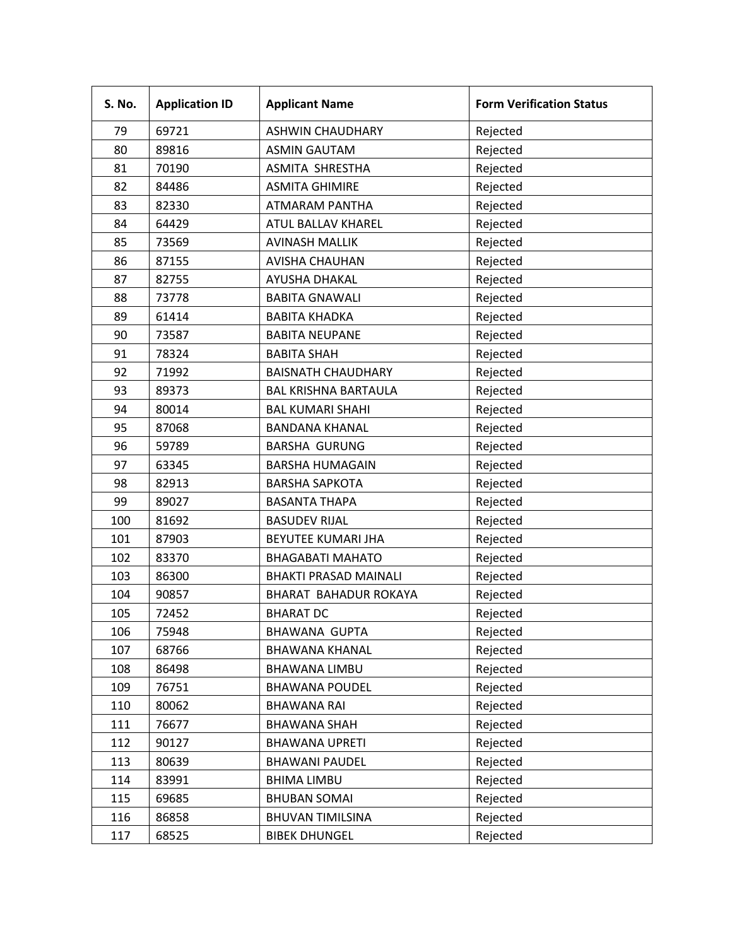| S. No. | <b>Application ID</b> | <b>Applicant Name</b>        | <b>Form Verification Status</b> |
|--------|-----------------------|------------------------------|---------------------------------|
| 79     | 69721                 | <b>ASHWIN CHAUDHARY</b>      | Rejected                        |
| 80     | 89816                 | <b>ASMIN GAUTAM</b>          | Rejected                        |
| 81     | 70190                 | ASMITA SHRESTHA              | Rejected                        |
| 82     | 84486                 | <b>ASMITA GHIMIRE</b>        | Rejected                        |
| 83     | 82330                 | <b>ATMARAM PANTHA</b>        | Rejected                        |
| 84     | 64429                 | ATUL BALLAV KHAREL           | Rejected                        |
| 85     | 73569                 | <b>AVINASH MALLIK</b>        | Rejected                        |
| 86     | 87155                 | <b>AVISHA CHAUHAN</b>        | Rejected                        |
| 87     | 82755                 | AYUSHA DHAKAL                | Rejected                        |
| 88     | 73778                 | <b>BABITA GNAWALI</b>        | Rejected                        |
| 89     | 61414                 | <b>BABITA KHADKA</b>         | Rejected                        |
| 90     | 73587                 | <b>BABITA NEUPANE</b>        | Rejected                        |
| 91     | 78324                 | <b>BABITA SHAH</b>           | Rejected                        |
| 92     | 71992                 | <b>BAISNATH CHAUDHARY</b>    | Rejected                        |
| 93     | 89373                 | <b>BAL KRISHNA BARTAULA</b>  | Rejected                        |
| 94     | 80014                 | <b>BAL KUMARI SHAHI</b>      | Rejected                        |
| 95     | 87068                 | <b>BANDANA KHANAL</b>        | Rejected                        |
| 96     | 59789                 | <b>BARSHA GURUNG</b>         | Rejected                        |
| 97     | 63345                 | <b>BARSHA HUMAGAIN</b>       | Rejected                        |
| 98     | 82913                 | <b>BARSHA SAPKOTA</b>        | Rejected                        |
| 99     | 89027                 | <b>BASANTA THAPA</b>         | Rejected                        |
| 100    | 81692                 | <b>BASUDEV RIJAL</b>         | Rejected                        |
| 101    | 87903                 | BEYUTEE KUMARI JHA           | Rejected                        |
| 102    | 83370                 | <b>BHAGABATI MAHATO</b>      | Rejected                        |
| 103    | 86300                 | <b>BHAKTI PRASAD MAINALI</b> | Rejected                        |
| 104    | 90857                 | BHARAT BAHADUR ROKAYA        | Rejected                        |
| 105    | 72452                 | <b>BHARAT DC</b>             | Rejected                        |
| 106    | 75948                 | <b>BHAWANA GUPTA</b>         | Rejected                        |
| 107    | 68766                 | <b>BHAWANA KHANAL</b>        | Rejected                        |
| 108    | 86498                 | <b>BHAWANA LIMBU</b>         | Rejected                        |
| 109    | 76751                 | <b>BHAWANA POUDEL</b>        | Rejected                        |
| 110    | 80062                 | <b>BHAWANA RAI</b>           | Rejected                        |
| 111    | 76677                 | <b>BHAWANA SHAH</b>          | Rejected                        |
| 112    | 90127                 | <b>BHAWANA UPRETI</b>        | Rejected                        |
| 113    | 80639                 | <b>BHAWANI PAUDEL</b>        | Rejected                        |
| 114    | 83991                 | <b>BHIMA LIMBU</b>           | Rejected                        |
| 115    | 69685                 | <b>BHUBAN SOMAI</b>          | Rejected                        |
| 116    | 86858                 | <b>BHUVAN TIMILSINA</b>      | Rejected                        |
| 117    | 68525                 | <b>BIBEK DHUNGEL</b>         | Rejected                        |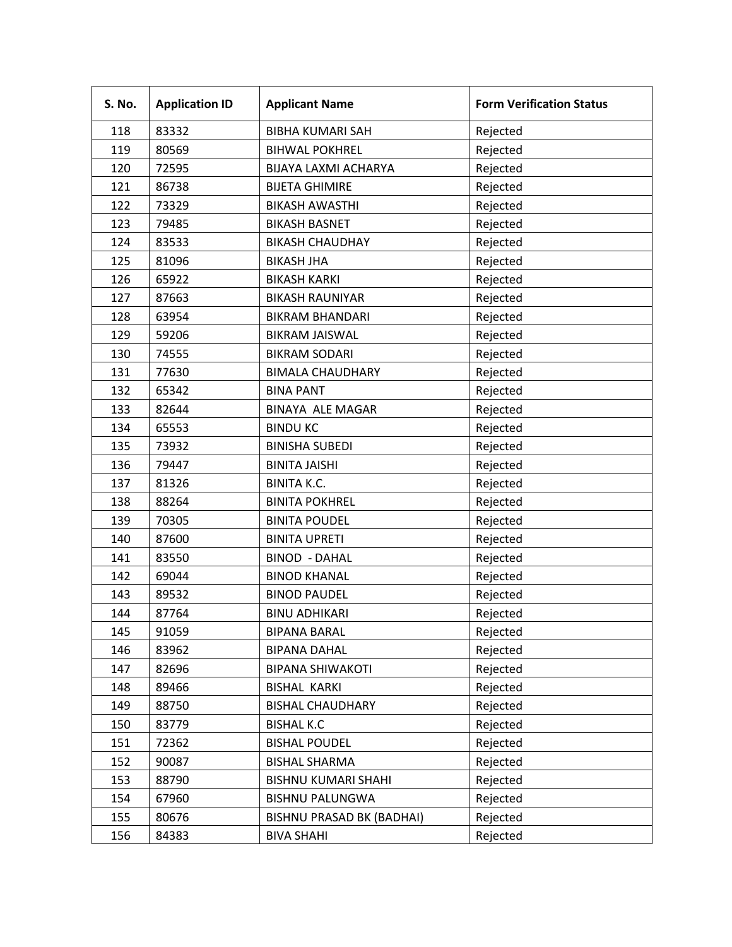| S. No. | <b>Application ID</b> | <b>Applicant Name</b>            | <b>Form Verification Status</b> |
|--------|-----------------------|----------------------------------|---------------------------------|
| 118    | 83332                 | <b>BIBHA KUMARI SAH</b>          | Rejected                        |
| 119    | 80569                 | <b>BIHWAL POKHREL</b>            | Rejected                        |
| 120    | 72595                 | BIJAYA LAXMI ACHARYA             | Rejected                        |
| 121    | 86738                 | <b>BIJETA GHIMIRE</b>            | Rejected                        |
| 122    | 73329                 | <b>BIKASH AWASTHI</b>            | Rejected                        |
| 123    | 79485                 | <b>BIKASH BASNET</b>             | Rejected                        |
| 124    | 83533                 | <b>BIKASH CHAUDHAY</b>           | Rejected                        |
| 125    | 81096                 | <b>BIKASH JHA</b>                | Rejected                        |
| 126    | 65922                 | <b>BIKASH KARKI</b>              | Rejected                        |
| 127    | 87663                 | <b>BIKASH RAUNIYAR</b>           | Rejected                        |
| 128    | 63954                 | <b>BIKRAM BHANDARI</b>           | Rejected                        |
| 129    | 59206                 | <b>BIKRAM JAISWAL</b>            | Rejected                        |
| 130    | 74555                 | <b>BIKRAM SODARI</b>             | Rejected                        |
| 131    | 77630                 | <b>BIMALA CHAUDHARY</b>          | Rejected                        |
| 132    | 65342                 | <b>BINA PANT</b>                 | Rejected                        |
| 133    | 82644                 | <b>BINAYA ALE MAGAR</b>          | Rejected                        |
| 134    | 65553                 | <b>BINDU KC</b>                  | Rejected                        |
| 135    | 73932                 | <b>BINISHA SUBEDI</b>            | Rejected                        |
| 136    | 79447                 | <b>BINITA JAISHI</b>             | Rejected                        |
| 137    | 81326                 | <b>BINITA K.C.</b>               | Rejected                        |
| 138    | 88264                 | <b>BINITA POKHREL</b>            | Rejected                        |
| 139    | 70305                 | <b>BINITA POUDEL</b>             | Rejected                        |
| 140    | 87600                 | <b>BINITA UPRETI</b>             | Rejected                        |
| 141    | 83550                 | <b>BINOD - DAHAL</b>             | Rejected                        |
| 142    | 69044                 | <b>BINOD KHANAL</b>              | Rejected                        |
| 143    | 89532                 | <b>BINOD PAUDEL</b>              | Rejected                        |
| 144    | 87764                 | <b>BINU ADHIKARI</b>             | Rejected                        |
| 145    | 91059                 | <b>BIPANA BARAL</b>              | Rejected                        |
| 146    | 83962                 | <b>BIPANA DAHAL</b>              | Rejected                        |
| 147    | 82696                 | <b>BIPANA SHIWAKOTI</b>          | Rejected                        |
| 148    | 89466                 | <b>BISHAL KARKI</b>              | Rejected                        |
| 149    | 88750                 | <b>BISHAL CHAUDHARY</b>          | Rejected                        |
| 150    | 83779                 | <b>BISHAL K.C</b>                | Rejected                        |
| 151    | 72362                 | <b>BISHAL POUDEL</b>             | Rejected                        |
| 152    | 90087                 | <b>BISHAL SHARMA</b>             | Rejected                        |
| 153    | 88790                 | <b>BISHNU KUMARI SHAHI</b>       | Rejected                        |
| 154    | 67960                 | <b>BISHNU PALUNGWA</b>           | Rejected                        |
| 155    | 80676                 | <b>BISHNU PRASAD BK (BADHAI)</b> | Rejected                        |
| 156    | 84383                 | <b>BIVA SHAHI</b>                | Rejected                        |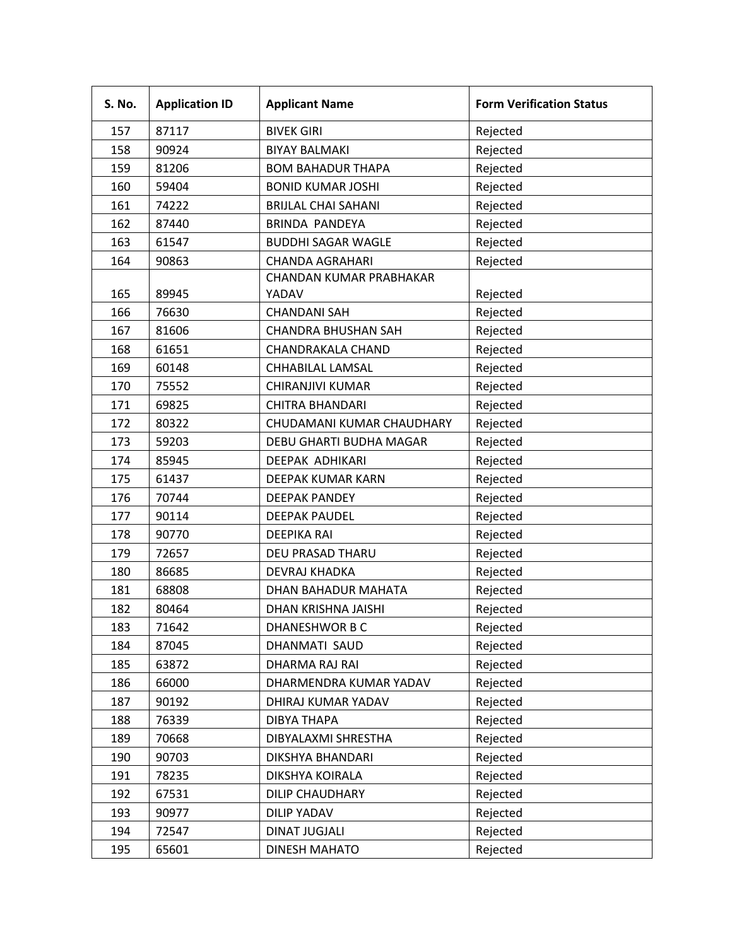| <b>S. No.</b> | <b>Application ID</b> | <b>Applicant Name</b>      | <b>Form Verification Status</b> |
|---------------|-----------------------|----------------------------|---------------------------------|
| 157           | 87117                 | <b>BIVEK GIRI</b>          | Rejected                        |
| 158           | 90924                 | <b>BIYAY BALMAKI</b>       | Rejected                        |
| 159           | 81206                 | <b>BOM BAHADUR THAPA</b>   | Rejected                        |
| 160           | 59404                 | <b>BONID KUMAR JOSHI</b>   | Rejected                        |
| 161           | 74222                 | <b>BRIJLAL CHAI SAHANI</b> | Rejected                        |
| 162           | 87440                 | <b>BRINDA PANDEYA</b>      | Rejected                        |
| 163           | 61547                 | <b>BUDDHI SAGAR WAGLE</b>  | Rejected                        |
| 164           | 90863                 | <b>CHANDA AGRAHARI</b>     | Rejected                        |
|               |                       | CHANDAN KUMAR PRABHAKAR    |                                 |
| 165           | 89945                 | YADAV                      | Rejected                        |
| 166           | 76630                 | <b>CHANDANI SAH</b>        | Rejected                        |
| 167           | 81606                 | <b>CHANDRA BHUSHAN SAH</b> | Rejected                        |
| 168           | 61651                 | CHANDRAKALA CHAND          | Rejected                        |
| 169           | 60148                 | CHHABILAL LAMSAL           | Rejected                        |
| 170           | 75552                 | CHIRANJIVI KUMAR           | Rejected                        |
| 171           | 69825                 | <b>CHITRA BHANDARI</b>     | Rejected                        |
| 172           | 80322                 | CHUDAMANI KUMAR CHAUDHARY  | Rejected                        |
| 173           | 59203                 | DEBU GHARTI BUDHA MAGAR    | Rejected                        |
| 174           | 85945                 | DEEPAK ADHIKARI            | Rejected                        |
| 175           | 61437                 | <b>DEEPAK KUMAR KARN</b>   | Rejected                        |
| 176           | 70744                 | <b>DEEPAK PANDEY</b>       | Rejected                        |
| 177           | 90114                 | <b>DEEPAK PAUDEL</b>       | Rejected                        |
| 178           | 90770                 | <b>DEEPIKA RAI</b>         | Rejected                        |
| 179           | 72657                 | DEU PRASAD THARU           | Rejected                        |
| 180           | 86685                 | <b>DEVRAJ KHADKA</b>       | Rejected                        |
| 181           | 68808                 | DHAN BAHADUR MAHATA        | Rejected                        |
| 182           | 80464                 | DHAN KRISHNA JAISHI        | Rejected                        |
| 183           | 71642                 | DHANESHWOR B C             | Rejected                        |
| 184           | 87045                 | DHANMATI SAUD              | Rejected                        |
| 185           | 63872                 | DHARMA RAJ RAI             | Rejected                        |
| 186           | 66000                 | DHARMENDRA KUMAR YADAV     | Rejected                        |
| 187           | 90192                 | DHIRAJ KUMAR YADAV         | Rejected                        |
| 188           | 76339                 | DIBYA THAPA                | Rejected                        |
| 189           | 70668                 | DIBYALAXMI SHRESTHA        | Rejected                        |
| 190           | 90703                 | DIKSHYA BHANDARI           | Rejected                        |
| 191           | 78235                 | DIKSHYA KOIRALA            | Rejected                        |
| 192           | 67531                 | DILIP CHAUDHARY            | Rejected                        |
| 193           | 90977                 | <b>DILIP YADAV</b>         | Rejected                        |
| 194           | 72547                 | <b>DINAT JUGJALI</b>       | Rejected                        |
| 195           | 65601                 | <b>DINESH MAHATO</b>       | Rejected                        |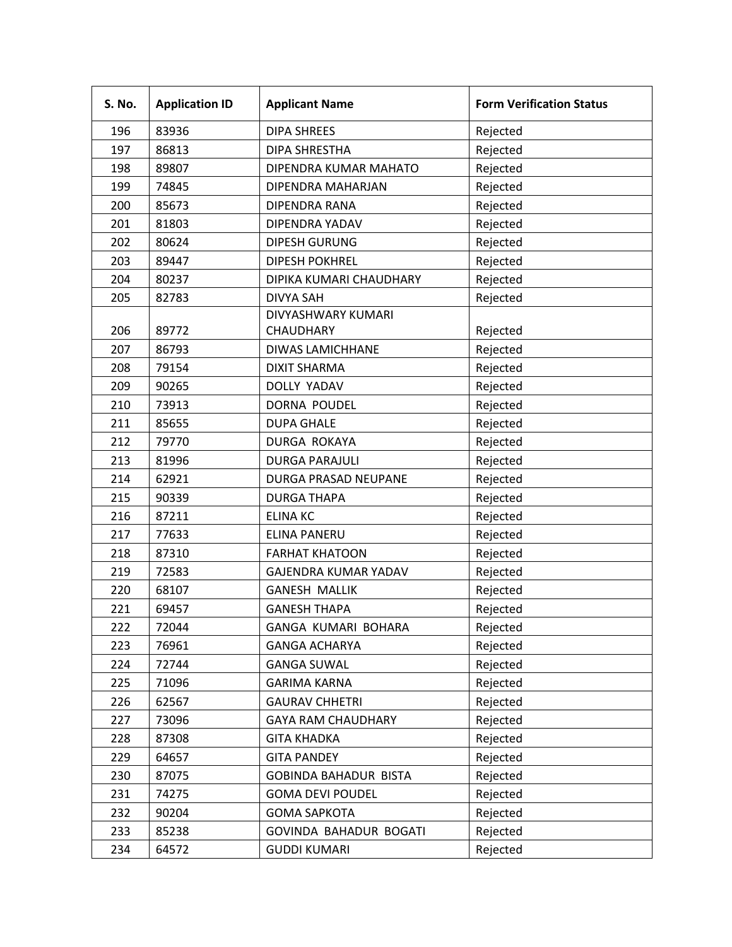| <b>S. No.</b> | <b>Application ID</b> | <b>Applicant Name</b>        | <b>Form Verification Status</b> |
|---------------|-----------------------|------------------------------|---------------------------------|
| 196           | 83936                 | <b>DIPA SHREES</b>           | Rejected                        |
| 197           | 86813                 | <b>DIPA SHRESTHA</b>         | Rejected                        |
| 198           | 89807                 | DIPENDRA KUMAR MAHATO        | Rejected                        |
| 199           | 74845                 | DIPENDRA MAHARJAN            | Rejected                        |
| 200           | 85673                 | DIPENDRA RANA                | Rejected                        |
| 201           | 81803                 | DIPENDRA YADAV               | Rejected                        |
| 202           | 80624                 | <b>DIPESH GURUNG</b>         | Rejected                        |
| 203           | 89447                 | <b>DIPESH POKHREL</b>        | Rejected                        |
| 204           | 80237                 | DIPIKA KUMARI CHAUDHARY      | Rejected                        |
| 205           | 82783                 | <b>DIVYA SAH</b>             | Rejected                        |
|               |                       | DIVYASHWARY KUMARI           |                                 |
| 206           | 89772                 | CHAUDHARY                    | Rejected                        |
| 207           | 86793                 | DIWAS LAMICHHANE             | Rejected                        |
| 208           | 79154                 | <b>DIXIT SHARMA</b>          | Rejected                        |
| 209           | 90265                 | DOLLY YADAV                  | Rejected                        |
| 210           | 73913                 | DORNA POUDEL                 | Rejected                        |
| 211           | 85655                 | <b>DUPA GHALE</b>            | Rejected                        |
| 212           | 79770                 | DURGA ROKAYA                 | Rejected                        |
| 213           | 81996                 | <b>DURGA PARAJULI</b>        | Rejected                        |
| 214           | 62921                 | DURGA PRASAD NEUPANE         | Rejected                        |
| 215           | 90339                 | <b>DURGA THAPA</b>           | Rejected                        |
| 216           | 87211                 | <b>ELINA KC</b>              | Rejected                        |
| 217           | 77633                 | ELINA PANERU                 | Rejected                        |
| 218           | 87310                 | <b>FARHAT KHATOON</b>        | Rejected                        |
| 219           | 72583                 | GAJENDRA KUMAR YADAV         | Rejected                        |
| 220           | 68107                 | <b>GANESH MALLIK</b>         | Rejected                        |
| 221           | 69457                 | <b>GANESH THAPA</b>          | Rejected                        |
| 222           | 72044                 | GANGA KUMARI BOHARA          | Rejected                        |
| 223           | 76961                 | <b>GANGA ACHARYA</b>         | Rejected                        |
| 224           | 72744                 | <b>GANGA SUWAL</b>           | Rejected                        |
| 225           | 71096                 | <b>GARIMA KARNA</b>          | Rejected                        |
| 226           | 62567                 | <b>GAURAV CHHETRI</b>        | Rejected                        |
| 227           | 73096                 | <b>GAYA RAM CHAUDHARY</b>    | Rejected                        |
| 228           | 87308                 | <b>GITA KHADKA</b>           | Rejected                        |
| 229           | 64657                 | <b>GITA PANDEY</b>           | Rejected                        |
| 230           | 87075                 | <b>GOBINDA BAHADUR BISTA</b> | Rejected                        |
| 231           | 74275                 | <b>GOMA DEVI POUDEL</b>      | Rejected                        |
| 232           | 90204                 | <b>GOMA SAPKOTA</b>          | Rejected                        |
| 233           | 85238                 | GOVINDA BAHADUR BOGATI       | Rejected                        |
| 234           | 64572                 | <b>GUDDI KUMARI</b>          | Rejected                        |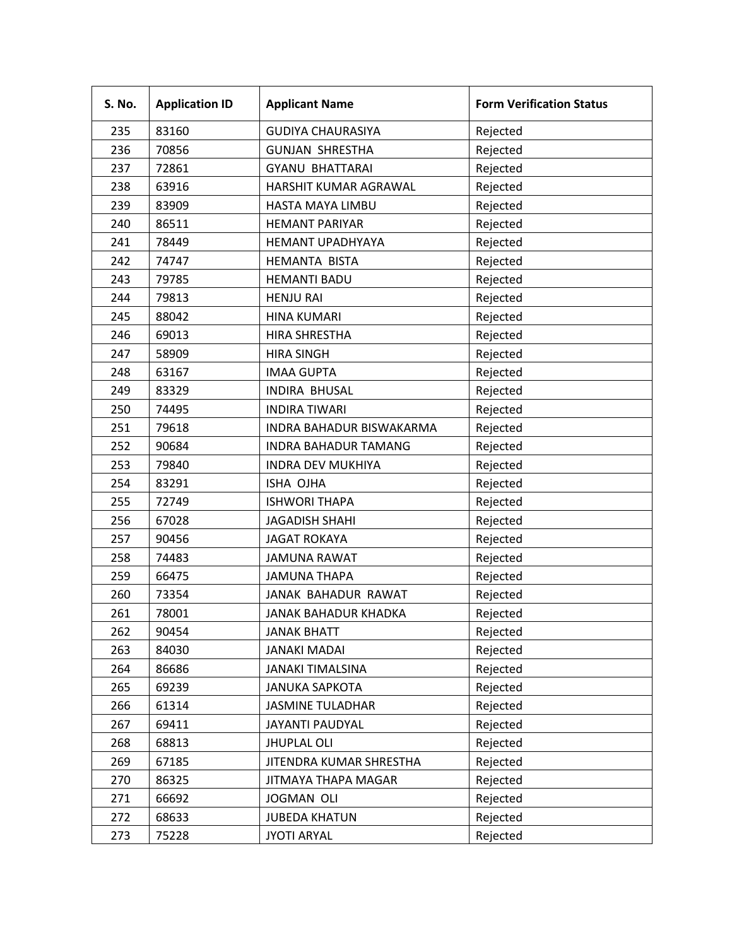| S. No. | <b>Application ID</b> | <b>Applicant Name</b>       | <b>Form Verification Status</b> |
|--------|-----------------------|-----------------------------|---------------------------------|
| 235    | 83160                 | <b>GUDIYA CHAURASIYA</b>    | Rejected                        |
| 236    | 70856                 | <b>GUNJAN SHRESTHA</b>      | Rejected                        |
| 237    | 72861                 | <b>GYANU BHATTARAI</b>      | Rejected                        |
| 238    | 63916                 | HARSHIT KUMAR AGRAWAL       | Rejected                        |
| 239    | 83909                 | HASTA MAYA LIMBU            | Rejected                        |
| 240    | 86511                 | <b>HEMANT PARIYAR</b>       | Rejected                        |
| 241    | 78449                 | <b>HEMANT UPADHYAYA</b>     | Rejected                        |
| 242    | 74747                 | <b>HEMANTA BISTA</b>        | Rejected                        |
| 243    | 79785                 | <b>HEMANTI BADU</b>         | Rejected                        |
| 244    | 79813                 | <b>HENJU RAI</b>            | Rejected                        |
| 245    | 88042                 | <b>HINA KUMARI</b>          | Rejected                        |
| 246    | 69013                 | <b>HIRA SHRESTHA</b>        | Rejected                        |
| 247    | 58909                 | <b>HIRA SINGH</b>           | Rejected                        |
| 248    | 63167                 | <b>IMAA GUPTA</b>           | Rejected                        |
| 249    | 83329                 | <b>INDIRA BHUSAL</b>        | Rejected                        |
| 250    | 74495                 | <b>INDIRA TIWARI</b>        | Rejected                        |
| 251    | 79618                 | INDRA BAHADUR BISWAKARMA    | Rejected                        |
| 252    | 90684                 | <b>INDRA BAHADUR TAMANG</b> | Rejected                        |
| 253    | 79840                 | <b>INDRA DEV MUKHIYA</b>    | Rejected                        |
| 254    | 83291                 | ISHA OJHA                   | Rejected                        |
| 255    | 72749                 | <b>ISHWORI THAPA</b>        | Rejected                        |
| 256    | 67028                 | <b>JAGADISH SHAHI</b>       | Rejected                        |
| 257    | 90456                 | <b>JAGAT ROKAYA</b>         | Rejected                        |
| 258    | 74483                 | <b>JAMUNA RAWAT</b>         | Rejected                        |
| 259    | 66475                 | <b>JAMUNA THAPA</b>         | Rejected                        |
| 260    | 73354                 | JANAK BAHADUR RAWAT         | Rejected                        |
| 261    | 78001                 | JANAK BAHADUR KHADKA        | Rejected                        |
| 262    | 90454                 | <b>JANAK BHATT</b>          | Rejected                        |
| 263    | 84030                 | <b>JANAKI MADAI</b>         | Rejected                        |
| 264    | 86686                 | <b>JANAKI TIMALSINA</b>     | Rejected                        |
| 265    | 69239                 | <b>JANUKA SAPKOTA</b>       | Rejected                        |
| 266    | 61314                 | <b>JASMINE TULADHAR</b>     | Rejected                        |
| 267    | 69411                 | JAYANTI PAUDYAL             | Rejected                        |
| 268    | 68813                 | <b>JHUPLAL OLI</b>          | Rejected                        |
| 269    | 67185                 | JITENDRA KUMAR SHRESTHA     | Rejected                        |
| 270    | 86325                 | JITMAYA THAPA MAGAR         | Rejected                        |
| 271    | 66692                 | <b>JOGMAN OLI</b>           | Rejected                        |
| 272    | 68633                 | <b>JUBEDA KHATUN</b>        | Rejected                        |
| 273    | 75228                 | <b>JYOTI ARYAL</b>          | Rejected                        |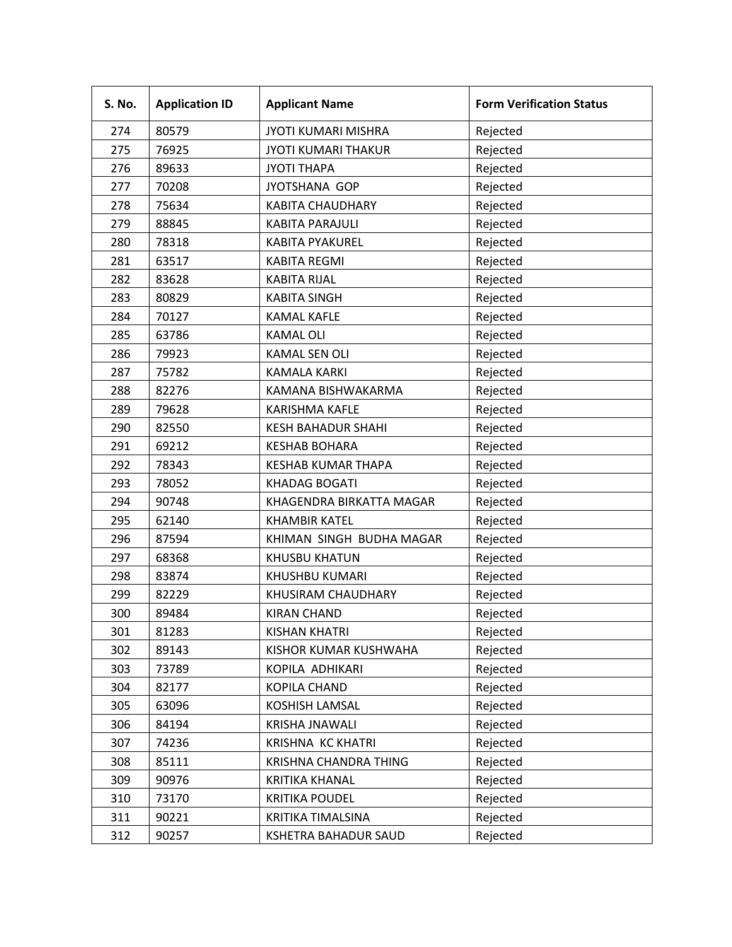| S. No. | <b>Application ID</b> | <b>Applicant Name</b>      | <b>Form Verification Status</b> |
|--------|-----------------------|----------------------------|---------------------------------|
| 274    | 80579                 | <b>JYOTI KUMARI MISHRA</b> | Rejected                        |
| 275    | 76925                 | <b>JYOTI KUMARI THAKUR</b> | Rejected                        |
| 276    | 89633                 | <b>JYOTI THAPA</b>         | Rejected                        |
| 277    | 70208                 | JYOTSHANA GOP              | Rejected                        |
| 278    | 75634                 | <b>KABITA CHAUDHARY</b>    | Rejected                        |
| 279    | 88845                 | <b>KABITA PARAJULI</b>     | Rejected                        |
| 280    | 78318                 | <b>KABITA PYAKUREL</b>     | Rejected                        |
| 281    | 63517                 | <b>KABITA REGMI</b>        | Rejected                        |
| 282    | 83628                 | <b>KABITA RIJAL</b>        | Rejected                        |
| 283    | 80829                 | <b>KABITA SINGH</b>        | Rejected                        |
| 284    | 70127                 | <b>KAMAL KAFLE</b>         | Rejected                        |
| 285    | 63786                 | <b>KAMAL OLI</b>           | Rejected                        |
| 286    | 79923                 | <b>KAMAL SEN OLI</b>       | Rejected                        |
| 287    | 75782                 | <b>KAMALA KARKI</b>        | Rejected                        |
| 288    | 82276                 | KAMANA BISHWAKARMA         | Rejected                        |
| 289    | 79628                 | <b>KARISHMA KAFLE</b>      | Rejected                        |
| 290    | 82550                 | <b>KESH BAHADUR SHAHI</b>  | Rejected                        |
| 291    | 69212                 | <b>KESHAB BOHARA</b>       | Rejected                        |
| 292    | 78343                 | <b>KESHAB KUMAR THAPA</b>  | Rejected                        |
| 293    | 78052                 | <b>KHADAG BOGATI</b>       | Rejected                        |
| 294    | 90748                 | KHAGENDRA BIRKATTA MAGAR   | Rejected                        |
| 295    | 62140                 | <b>KHAMBIR KATEL</b>       | Rejected                        |
| 296    | 87594                 | KHIMAN SINGH BUDHA MAGAR   | Rejected                        |
| 297    | 68368                 | <b>KHUSBU KHATUN</b>       | Rejected                        |
| 298    | 83874                 | KHUSHBU KUMARI             | Rejected                        |
| 299    | 82229                 | KHUSIRAM CHAUDHARY         | Rejected                        |
| 300    | 89484                 | <b>KIRAN CHAND</b>         | Rejected                        |
| 301    | 81283                 | <b>KISHAN KHATRI</b>       | Rejected                        |
| 302    | 89143                 | KISHOR KUMAR KUSHWAHA      | Rejected                        |
| 303    | 73789                 | KOPILA ADHIKARI            | Rejected                        |
| 304    | 82177                 | <b>KOPILA CHAND</b>        | Rejected                        |
| 305    | 63096                 | KOSHISH LAMSAL             | Rejected                        |
| 306    | 84194                 | <b>KRISHA JNAWALI</b>      | Rejected                        |
| 307    | 74236                 | <b>KRISHNA KC KHATRI</b>   | Rejected                        |
| 308    | 85111                 | KRISHNA CHANDRA THING      | Rejected                        |
| 309    | 90976                 | <b>KRITIKA KHANAL</b>      | Rejected                        |
| 310    | 73170                 | <b>KRITIKA POUDEL</b>      | Rejected                        |
| 311    | 90221                 | KRITIKA TIMALSINA          | Rejected                        |
| 312    | 90257                 | KSHETRA BAHADUR SAUD       | Rejected                        |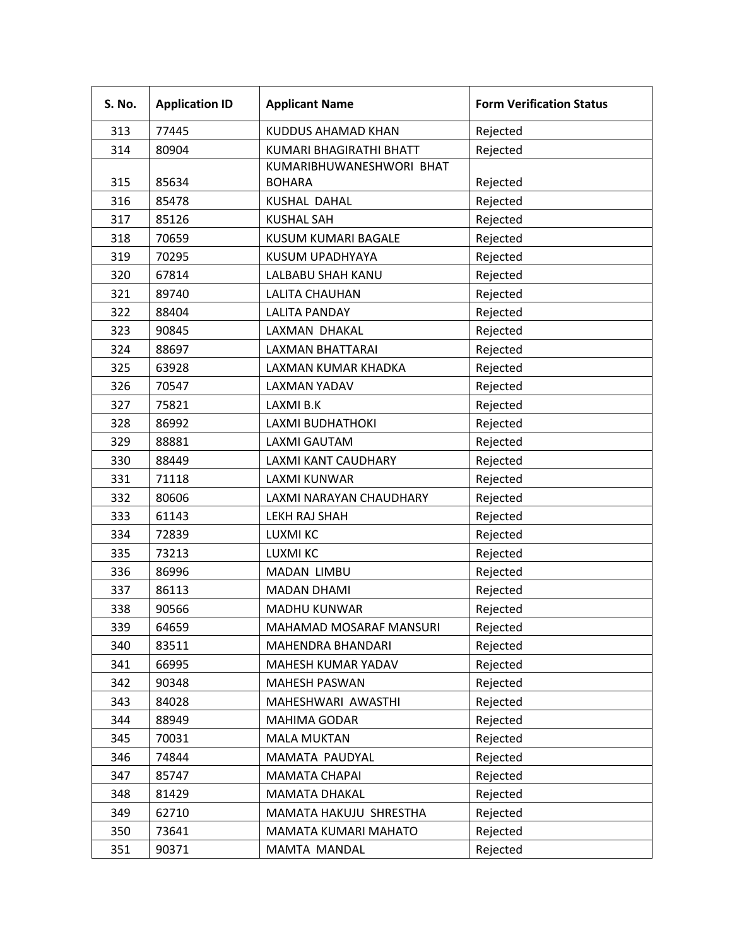| S. No. | <b>Application ID</b> | <b>Applicant Name</b>          | <b>Form Verification Status</b> |
|--------|-----------------------|--------------------------------|---------------------------------|
| 313    | 77445                 | <b>KUDDUS AHAMAD KHAN</b>      | Rejected                        |
| 314    | 80904                 | <b>KUMARI BHAGIRATHI BHATT</b> | Rejected                        |
|        |                       | KUMARIBHUWANESHWORI BHAT       |                                 |
| 315    | 85634                 | <b>BOHARA</b>                  | Rejected                        |
| 316    | 85478                 | <b>KUSHAL DAHAL</b>            | Rejected                        |
| 317    | 85126                 | <b>KUSHAL SAH</b>              | Rejected                        |
| 318    | 70659                 | <b>KUSUM KUMARI BAGALE</b>     | Rejected                        |
| 319    | 70295                 | KUSUM UPADHYAYA                | Rejected                        |
| 320    | 67814                 | LALBABU SHAH KANU              | Rejected                        |
| 321    | 89740                 | LALITA CHAUHAN                 | Rejected                        |
| 322    | 88404                 | <b>LALITA PANDAY</b>           | Rejected                        |
| 323    | 90845                 | LAXMAN DHAKAL                  | Rejected                        |
| 324    | 88697                 | <b>LAXMAN BHATTARAI</b>        | Rejected                        |
| 325    | 63928                 | LAXMAN KUMAR KHADKA            | Rejected                        |
| 326    | 70547                 | <b>LAXMAN YADAV</b>            | Rejected                        |
| 327    | 75821                 | LAXMI B.K                      | Rejected                        |
| 328    | 86992                 | LAXMI BUDHATHOKI               | Rejected                        |
| 329    | 88881                 | <b>LAXMI GAUTAM</b>            | Rejected                        |
| 330    | 88449                 | LAXMI KANT CAUDHARY            | Rejected                        |
| 331    | 71118                 | <b>LAXMI KUNWAR</b>            | Rejected                        |
| 332    | 80606                 | LAXMI NARAYAN CHAUDHARY        | Rejected                        |
| 333    | 61143                 | LEKH RAJ SHAH                  | Rejected                        |
| 334    | 72839                 | LUXMI KC                       | Rejected                        |
| 335    | 73213                 | <b>LUXMI KC</b>                | Rejected                        |
| 336    | 86996                 | MADAN LIMBU                    | Rejected                        |
| 337    | 86113                 | <b>MADAN DHAMI</b>             | Rejected                        |
| 338    | 90566                 | <b>MADHU KUNWAR</b>            | Rejected                        |
| 339    | 64659                 | MAHAMAD MOSARAF MANSURI        | Rejected                        |
| 340    | 83511                 | MAHENDRA BHANDARI              | Rejected                        |
| 341    | 66995                 | MAHESH KUMAR YADAV             | Rejected                        |
| 342    | 90348                 | <b>MAHESH PASWAN</b>           | Rejected                        |
| 343    | 84028                 | MAHESHWARI AWASTHI             | Rejected                        |
| 344    | 88949                 | <b>MAHIMA GODAR</b>            | Rejected                        |
| 345    | 70031                 | <b>MALA MUKTAN</b>             | Rejected                        |
| 346    | 74844                 | MAMATA PAUDYAL                 | Rejected                        |
| 347    | 85747                 | <b>MAMATA CHAPAI</b>           | Rejected                        |
| 348    | 81429                 | <b>MAMATA DHAKAL</b>           | Rejected                        |
| 349    | 62710                 | MAMATA HAKUJU SHRESTHA         | Rejected                        |
| 350    | 73641                 | MAMATA KUMARI MAHATO           | Rejected                        |
| 351    | 90371                 | MAMTA MANDAL                   | Rejected                        |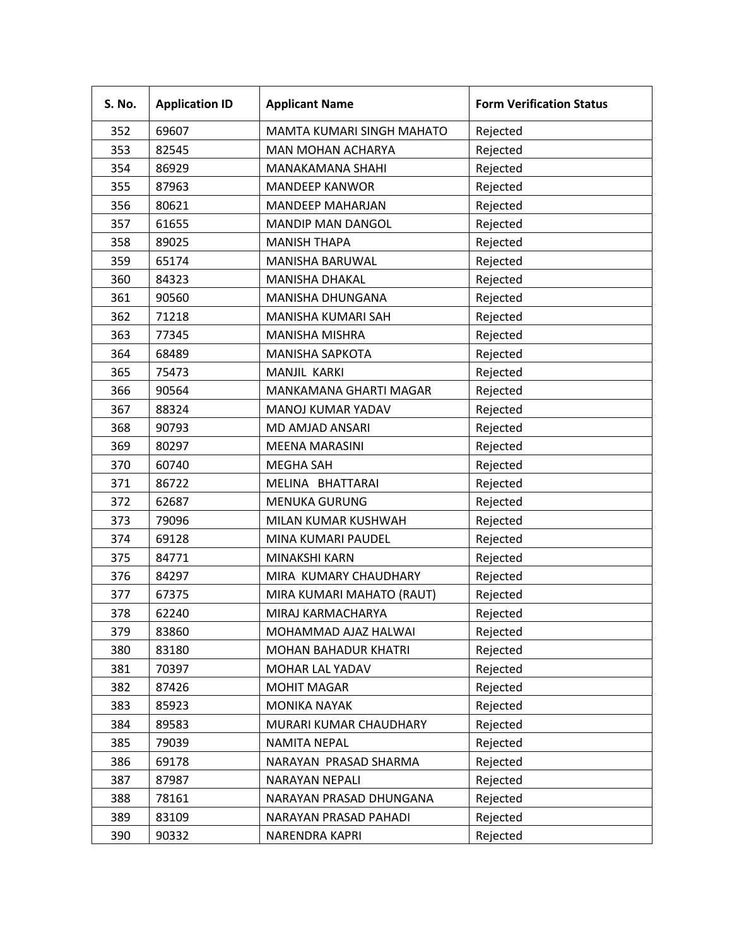| S. No. | <b>Application ID</b> | <b>Applicant Name</b>         | <b>Form Verification Status</b> |
|--------|-----------------------|-------------------------------|---------------------------------|
| 352    | 69607                 | MAMTA KUMARI SINGH MAHATO     | Rejected                        |
| 353    | 82545                 | <b>MAN MOHAN ACHARYA</b>      | Rejected                        |
| 354    | 86929                 | <b>MANAKAMANA SHAHI</b>       | Rejected                        |
| 355    | 87963                 | <b>MANDEEP KANWOR</b>         | Rejected                        |
| 356    | 80621                 | <b>MANDEEP MAHARJAN</b>       | Rejected                        |
| 357    | 61655                 | <b>MANDIP MAN DANGOL</b>      | Rejected                        |
| 358    | 89025                 | <b>MANISH THAPA</b>           | Rejected                        |
| 359    | 65174                 | MANISHA BARUWAL               | Rejected                        |
| 360    | 84323                 | <b>MANISHA DHAKAL</b>         | Rejected                        |
| 361    | 90560                 | MANISHA DHUNGANA              | Rejected                        |
| 362    | 71218                 | MANISHA KUMARI SAH            | Rejected                        |
| 363    | 77345                 | <b>MANISHA MISHRA</b>         | Rejected                        |
| 364    | 68489                 | <b>MANISHA SAPKOTA</b>        | Rejected                        |
| 365    | 75473                 | MANJIL KARKI                  | Rejected                        |
| 366    | 90564                 | <b>MANKAMANA GHARTI MAGAR</b> | Rejected                        |
| 367    | 88324                 | MANOJ KUMAR YADAV             | Rejected                        |
| 368    | 90793                 | MD AMJAD ANSARI               | Rejected                        |
| 369    | 80297                 | <b>MEENA MARASINI</b>         | Rejected                        |
| 370    | 60740                 | <b>MEGHA SAH</b>              | Rejected                        |
| 371    | 86722                 | MELINA BHATTARAI              | Rejected                        |
| 372    | 62687                 | <b>MENUKA GURUNG</b>          | Rejected                        |
| 373    | 79096                 | MILAN KUMAR KUSHWAH           | Rejected                        |
| 374    | 69128                 | MINA KUMARI PAUDEL            | Rejected                        |
| 375    | 84771                 | MINAKSHI KARN                 | Rejected                        |
| 376    | 84297                 | MIRA KUMARY CHAUDHARY         | Rejected                        |
| 377    | 67375                 | MIRA KUMARI MAHATO (RAUT)     | Rejected                        |
| 378    | 62240                 | MIRAJ KARMACHARYA             | Rejected                        |
| 379    | 83860                 | MOHAMMAD AJAZ HALWAI          | Rejected                        |
| 380    | 83180                 | <b>MOHAN BAHADUR KHATRI</b>   | Rejected                        |
| 381    | 70397                 | MOHAR LAL YADAV               | Rejected                        |
| 382    | 87426                 | <b>MOHIT MAGAR</b>            | Rejected                        |
| 383    | 85923                 | <b>MONIKA NAYAK</b>           | Rejected                        |
| 384    | 89583                 | MURARI KUMAR CHAUDHARY        | Rejected                        |
| 385    | 79039                 | NAMITA NEPAL                  | Rejected                        |
| 386    | 69178                 | NARAYAN PRASAD SHARMA         | Rejected                        |
| 387    | 87987                 | NARAYAN NEPALI                | Rejected                        |
| 388    | 78161                 | NARAYAN PRASAD DHUNGANA       | Rejected                        |
| 389    | 83109                 | NARAYAN PRASAD PAHADI         | Rejected                        |
| 390    | 90332                 | NARENDRA KAPRI                | Rejected                        |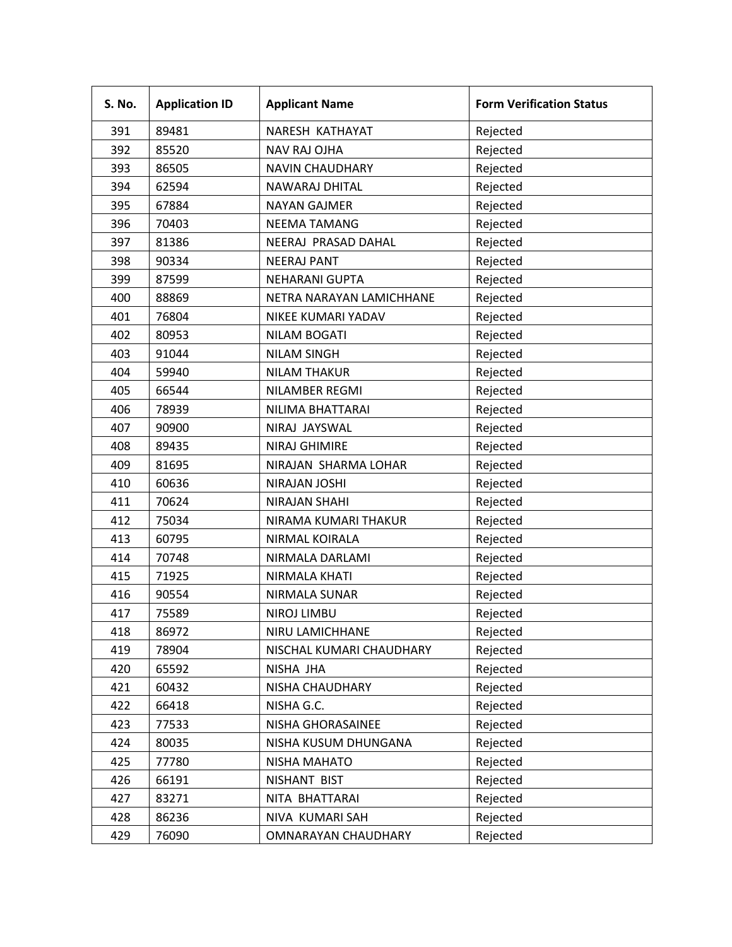| <b>S. No.</b> | <b>Application ID</b> | <b>Applicant Name</b>    | <b>Form Verification Status</b> |
|---------------|-----------------------|--------------------------|---------------------------------|
| 391           | 89481                 | NARESH KATHAYAT          | Rejected                        |
| 392           | 85520                 | <b>NAV RAJ OJHA</b>      | Rejected                        |
| 393           | 86505                 | <b>NAVIN CHAUDHARY</b>   | Rejected                        |
| 394           | 62594                 | NAWARAJ DHITAL           | Rejected                        |
| 395           | 67884                 | <b>NAYAN GAJMER</b>      | Rejected                        |
| 396           | 70403                 | <b>NEEMA TAMANG</b>      | Rejected                        |
| 397           | 81386                 | NEERAJ PRASAD DAHAL      | Rejected                        |
| 398           | 90334                 | <b>NEERAJ PANT</b>       | Rejected                        |
| 399           | 87599                 | <b>NEHARANI GUPTA</b>    | Rejected                        |
| 400           | 88869                 | NETRA NARAYAN LAMICHHANE | Rejected                        |
| 401           | 76804                 | NIKEE KUMARI YADAV       | Rejected                        |
| 402           | 80953                 | <b>NILAM BOGATI</b>      | Rejected                        |
| 403           | 91044                 | <b>NILAM SINGH</b>       | Rejected                        |
| 404           | 59940                 | <b>NILAM THAKUR</b>      | Rejected                        |
| 405           | 66544                 | NILAMBER REGMI           | Rejected                        |
| 406           | 78939                 | NILIMA BHATTARAI         | Rejected                        |
| 407           | 90900                 | NIRAJ JAYSWAL            | Rejected                        |
| 408           | 89435                 | <b>NIRAJ GHIMIRE</b>     | Rejected                        |
| 409           | 81695                 | NIRAJAN SHARMA LOHAR     | Rejected                        |
| 410           | 60636                 | <b>NIRAJAN JOSHI</b>     | Rejected                        |
| 411           | 70624                 | <b>NIRAJAN SHAHI</b>     | Rejected                        |
| 412           | 75034                 | NIRAMA KUMARI THAKUR     | Rejected                        |
| 413           | 60795                 | NIRMAL KOIRALA           | Rejected                        |
| 414           | 70748                 | NIRMALA DARLAMI          | Rejected                        |
| 415           | 71925                 | NIRMALA KHATI            | Rejected                        |
| 416           | 90554                 | NIRMALA SUNAR            | Rejected                        |
| 417           | 75589                 | <b>NIROJ LIMBU</b>       | Rejected                        |
| 418           | 86972                 | NIRU LAMICHHANE          | Rejected                        |
| 419           | 78904                 | NISCHAL KUMARI CHAUDHARY | Rejected                        |
| 420           | 65592                 | NISHA JHA                | Rejected                        |
| 421           | 60432                 | NISHA CHAUDHARY          | Rejected                        |
| 422           | 66418                 | NISHA G.C.               | Rejected                        |
| 423           | 77533                 | NISHA GHORASAINEE        | Rejected                        |
| 424           | 80035                 | NISHA KUSUM DHUNGANA     | Rejected                        |
| 425           | 77780                 | NISHA MAHATO             | Rejected                        |
| 426           | 66191                 | NISHANT BIST             | Rejected                        |
| 427           | 83271                 | NITA BHATTARAI           | Rejected                        |
| 428           | 86236                 | NIVA KUMARI SAH          | Rejected                        |
| 429           | 76090                 | OMNARAYAN CHAUDHARY      | Rejected                        |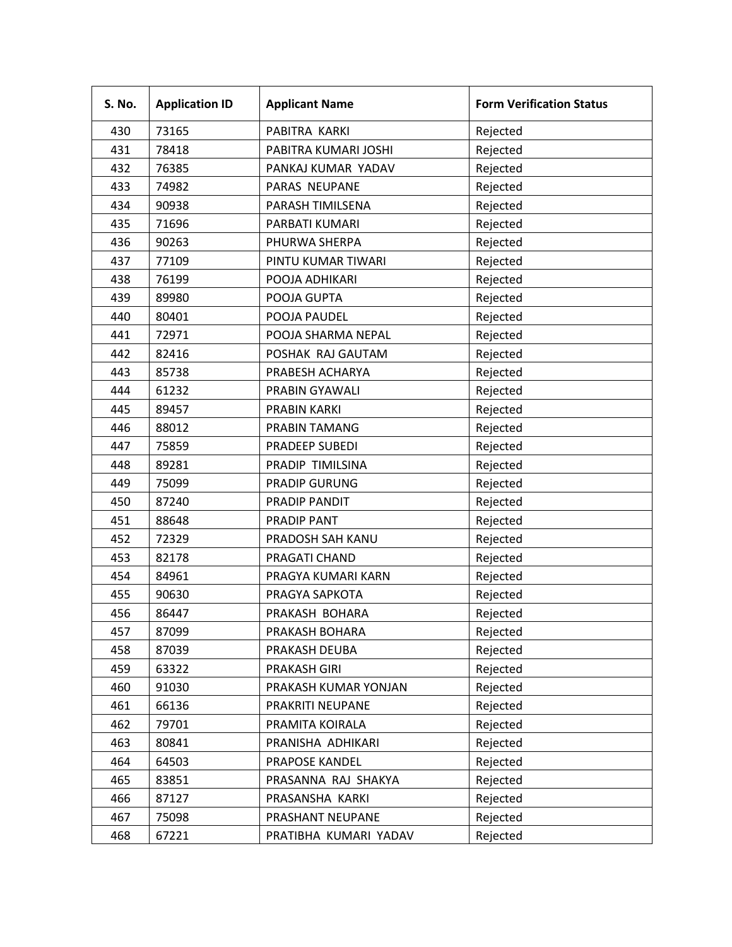| S. No. | <b>Application ID</b> | <b>Applicant Name</b> | <b>Form Verification Status</b> |
|--------|-----------------------|-----------------------|---------------------------------|
| 430    | 73165                 | PABITRA KARKI         | Rejected                        |
| 431    | 78418                 | PABITRA KUMARI JOSHI  | Rejected                        |
| 432    | 76385                 | PANKAJ KUMAR YADAV    | Rejected                        |
| 433    | 74982                 | PARAS NEUPANE         | Rejected                        |
| 434    | 90938                 | PARASH TIMILSENA      | Rejected                        |
| 435    | 71696                 | PARBATI KUMARI        | Rejected                        |
| 436    | 90263                 | PHURWA SHERPA         | Rejected                        |
| 437    | 77109                 | PINTU KUMAR TIWARI    | Rejected                        |
| 438    | 76199                 | POOJA ADHIKARI        | Rejected                        |
| 439    | 89980                 | POOJA GUPTA           | Rejected                        |
| 440    | 80401                 | POOJA PAUDEL          | Rejected                        |
| 441    | 72971                 | POOJA SHARMA NEPAL    | Rejected                        |
| 442    | 82416                 | POSHAK RAJ GAUTAM     | Rejected                        |
| 443    | 85738                 | PRABESH ACHARYA       | Rejected                        |
| 444    | 61232                 | PRABIN GYAWALI        | Rejected                        |
| 445    | 89457                 | PRABIN KARKI          | Rejected                        |
| 446    | 88012                 | PRABIN TAMANG         | Rejected                        |
| 447    | 75859                 | PRADEEP SUBEDI        | Rejected                        |
| 448    | 89281                 | PRADIP TIMILSINA      | Rejected                        |
| 449    | 75099                 | <b>PRADIP GURUNG</b>  | Rejected                        |
| 450    | 87240                 | PRADIP PANDIT         | Rejected                        |
| 451    | 88648                 | PRADIP PANT           | Rejected                        |
| 452    | 72329                 | PRADOSH SAH KANU      | Rejected                        |
| 453    | 82178                 | PRAGATI CHAND         | Rejected                        |
| 454    | 84961                 | PRAGYA KUMARI KARN    | Rejected                        |
| 455    | 90630                 | PRAGYA SAPKOTA        | Rejected                        |
| 456    | 86447                 | PRAKASH BOHARA        | Rejected                        |
| 457    | 87099                 | PRAKASH BOHARA        | Rejected                        |
| 458    | 87039                 | PRAKASH DEUBA         | Rejected                        |
| 459    | 63322                 | PRAKASH GIRI          | Rejected                        |
| 460    | 91030                 | PRAKASH KUMAR YONJAN  | Rejected                        |
| 461    | 66136                 | PRAKRITI NEUPANE      | Rejected                        |
| 462    | 79701                 | PRAMITA KOIRALA       | Rejected                        |
| 463    | 80841                 | PRANISHA ADHIKARI     | Rejected                        |
| 464    | 64503                 | PRAPOSE KANDEL        | Rejected                        |
| 465    | 83851                 | PRASANNA RAJ SHAKYA   | Rejected                        |
| 466    | 87127                 | PRASANSHA KARKI       | Rejected                        |
| 467    | 75098                 | PRASHANT NEUPANE      | Rejected                        |
| 468    | 67221                 | PRATIBHA KUMARI YADAV | Rejected                        |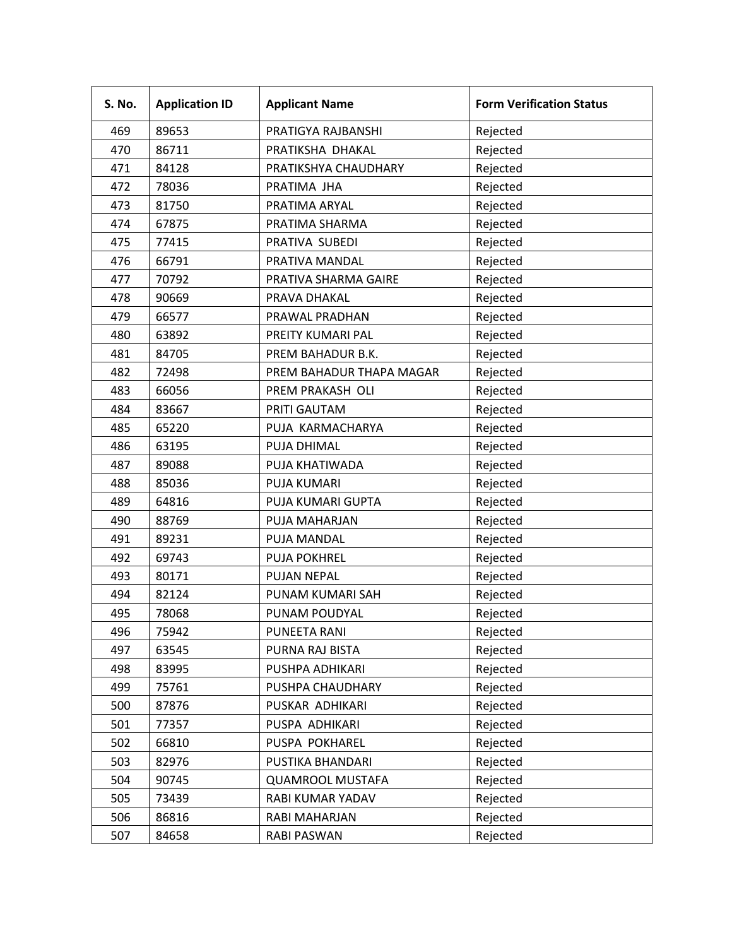| S. No. | <b>Application ID</b> | <b>Applicant Name</b>    | <b>Form Verification Status</b> |
|--------|-----------------------|--------------------------|---------------------------------|
| 469    | 89653                 | PRATIGYA RAJBANSHI       | Rejected                        |
| 470    | 86711                 | PRATIKSHA DHAKAL         | Rejected                        |
| 471    | 84128                 | PRATIKSHYA CHAUDHARY     | Rejected                        |
| 472    | 78036                 | PRATIMA JHA              | Rejected                        |
| 473    | 81750                 | PRATIMA ARYAL            | Rejected                        |
| 474    | 67875                 | PRATIMA SHARMA           | Rejected                        |
| 475    | 77415                 | PRATIVA SUBEDI           | Rejected                        |
| 476    | 66791                 | PRATIVA MANDAL           | Rejected                        |
| 477    | 70792                 | PRATIVA SHARMA GAIRE     | Rejected                        |
| 478    | 90669                 | PRAVA DHAKAL             | Rejected                        |
| 479    | 66577                 | PRAWAL PRADHAN           | Rejected                        |
| 480    | 63892                 | PREITY KUMARI PAL        | Rejected                        |
| 481    | 84705                 | PREM BAHADUR B.K.        | Rejected                        |
| 482    | 72498                 | PREM BAHADUR THAPA MAGAR | Rejected                        |
| 483    | 66056                 | PREM PRAKASH OLI         | Rejected                        |
| 484    | 83667                 | PRITI GAUTAM             | Rejected                        |
| 485    | 65220                 | PUJA KARMACHARYA         | Rejected                        |
| 486    | 63195                 | PUJA DHIMAL              | Rejected                        |
| 487    | 89088                 | PUJA KHATIWADA           | Rejected                        |
| 488    | 85036                 | <b>PUJA KUMARI</b>       | Rejected                        |
| 489    | 64816                 | PUJA KUMARI GUPTA        | Rejected                        |
| 490    | 88769                 | PUJA MAHARJAN            | Rejected                        |
| 491    | 89231                 | PUJA MANDAL              | Rejected                        |
| 492    | 69743                 | <b>PUJA POKHREL</b>      | Rejected                        |
| 493    | 80171                 | PUJAN NEPAL              | Rejected                        |
| 494    | 82124                 | PUNAM KUMARI SAH         | Rejected                        |
| 495    | 78068                 | PUNAM POUDYAL            | Rejected                        |
| 496    | 75942                 | PUNEETA RANI             | Rejected                        |
| 497    | 63545                 | PURNA RAJ BISTA          | Rejected                        |
| 498    | 83995                 | PUSHPA ADHIKARI          | Rejected                        |
| 499    | 75761                 | PUSHPA CHAUDHARY         | Rejected                        |
| 500    | 87876                 | PUSKAR ADHIKARI          | Rejected                        |
| 501    | 77357                 | PUSPA ADHIKARI           | Rejected                        |
| 502    | 66810                 | PUSPA POKHAREL           | Rejected                        |
| 503    | 82976                 | PUSTIKA BHANDARI         | Rejected                        |
| 504    | 90745                 | <b>QUAMROOL MUSTAFA</b>  | Rejected                        |
| 505    | 73439                 | RABI KUMAR YADAV         | Rejected                        |
| 506    | 86816                 | RABI MAHARJAN            | Rejected                        |
| 507    | 84658                 | RABI PASWAN              | Rejected                        |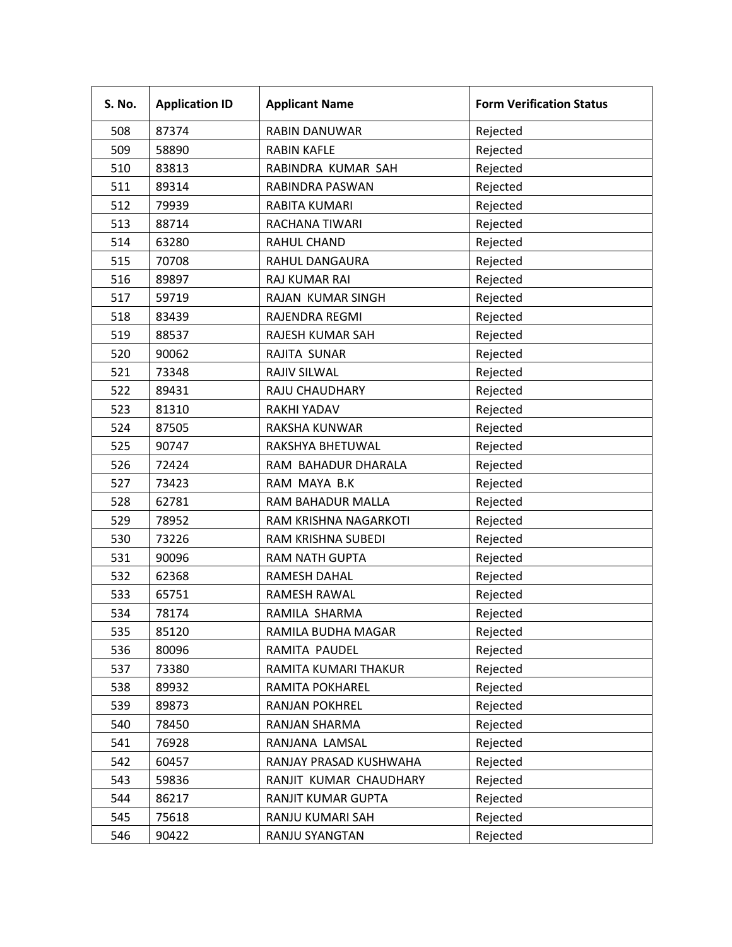| S. No. | <b>Application ID</b> | <b>Applicant Name</b>  | <b>Form Verification Status</b> |
|--------|-----------------------|------------------------|---------------------------------|
| 508    | 87374                 | <b>RABIN DANUWAR</b>   | Rejected                        |
| 509    | 58890                 | <b>RABIN KAFLE</b>     | Rejected                        |
| 510    | 83813                 | RABINDRA KUMAR SAH     | Rejected                        |
| 511    | 89314                 | RABINDRA PASWAN        | Rejected                        |
| 512    | 79939                 | RABITA KUMARI          | Rejected                        |
| 513    | 88714                 | RACHANA TIWARI         | Rejected                        |
| 514    | 63280                 | <b>RAHUL CHAND</b>     | Rejected                        |
| 515    | 70708                 | RAHUL DANGAURA         | Rejected                        |
| 516    | 89897                 | <b>RAJ KUMAR RAI</b>   | Rejected                        |
| 517    | 59719                 | RAJAN KUMAR SINGH      | Rejected                        |
| 518    | 83439                 | RAJENDRA REGMI         | Rejected                        |
| 519    | 88537                 | RAJESH KUMAR SAH       | Rejected                        |
| 520    | 90062                 | RAJITA SUNAR           | Rejected                        |
| 521    | 73348                 | RAJIV SILWAL           | Rejected                        |
| 522    | 89431                 | RAJU CHAUDHARY         | Rejected                        |
| 523    | 81310                 | <b>RAKHI YADAV</b>     | Rejected                        |
| 524    | 87505                 | RAKSHA KUNWAR          | Rejected                        |
| 525    | 90747                 | RAKSHYA BHETUWAL       | Rejected                        |
| 526    | 72424                 | RAM BAHADUR DHARALA    | Rejected                        |
| 527    | 73423                 | RAM MAYA B.K           | Rejected                        |
| 528    | 62781                 | RAM BAHADUR MALLA      | Rejected                        |
| 529    | 78952                 | RAM KRISHNA NAGARKOTI  | Rejected                        |
| 530    | 73226                 | RAM KRISHNA SUBEDI     | Rejected                        |
| 531    | 90096                 | <b>RAM NATH GUPTA</b>  | Rejected                        |
| 532    | 62368                 | RAMESH DAHAL           | Rejected                        |
| 533    | 65751                 | <b>RAMESH RAWAL</b>    | Rejected                        |
| 534    | 78174                 | RAMILA SHARMA          | Rejected                        |
| 535    | 85120                 | RAMILA BUDHA MAGAR     | Rejected                        |
| 536    | 80096                 | RAMITA PAUDEL          | Rejected                        |
| 537    | 73380                 | RAMITA KUMARI THAKUR   | Rejected                        |
| 538    | 89932                 | RAMITA POKHAREL        | Rejected                        |
| 539    | 89873                 | RANJAN POKHREL         | Rejected                        |
| 540    | 78450                 | RANJAN SHARMA          | Rejected                        |
| 541    | 76928                 | RANJANA LAMSAL         | Rejected                        |
| 542    | 60457                 | RANJAY PRASAD KUSHWAHA | Rejected                        |
| 543    | 59836                 | RANJIT KUMAR CHAUDHARY | Rejected                        |
| 544    | 86217                 | RANJIT KUMAR GUPTA     | Rejected                        |
| 545    | 75618                 | RANJU KUMARI SAH       | Rejected                        |
| 546    | 90422                 | RANJU SYANGTAN         | Rejected                        |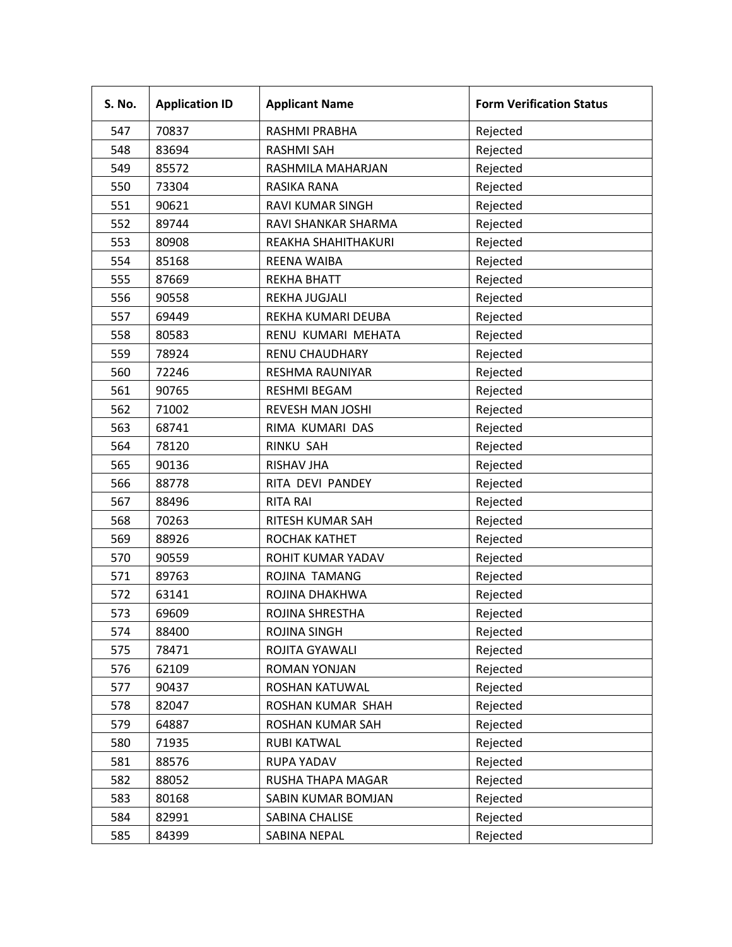| S. No. | <b>Application ID</b> | <b>Applicant Name</b>   | <b>Form Verification Status</b> |
|--------|-----------------------|-------------------------|---------------------------------|
| 547    | 70837                 | RASHMI PRABHA           | Rejected                        |
| 548    | 83694                 | <b>RASHMI SAH</b>       | Rejected                        |
| 549    | 85572                 | RASHMILA MAHARJAN       | Rejected                        |
| 550    | 73304                 | RASIKA RANA             | Rejected                        |
| 551    | 90621                 | RAVI KUMAR SINGH        | Rejected                        |
| 552    | 89744                 | RAVI SHANKAR SHARMA     | Rejected                        |
| 553    | 80908                 | REAKHA SHAHITHAKURI     | Rejected                        |
| 554    | 85168                 | <b>REENA WAIBA</b>      | Rejected                        |
| 555    | 87669                 | <b>REKHA BHATT</b>      | Rejected                        |
| 556    | 90558                 | REKHA JUGJALI           | Rejected                        |
| 557    | 69449                 | REKHA KUMARI DEUBA      | Rejected                        |
| 558    | 80583                 | RENU KUMARI MEHATA      | Rejected                        |
| 559    | 78924                 | <b>RENU CHAUDHARY</b>   | Rejected                        |
| 560    | 72246                 | RESHMA RAUNIYAR         | Rejected                        |
| 561    | 90765                 | <b>RESHMI BEGAM</b>     | Rejected                        |
| 562    | 71002                 | <b>REVESH MAN JOSHI</b> | Rejected                        |
| 563    | 68741                 | RIMA KUMARI DAS         | Rejected                        |
| 564    | 78120                 | <b>RINKU SAH</b>        | Rejected                        |
| 565    | 90136                 | <b>RISHAV JHA</b>       | Rejected                        |
| 566    | 88778                 | RITA DEVI PANDEY        | Rejected                        |
| 567    | 88496                 | <b>RITA RAI</b>         | Rejected                        |
| 568    | 70263                 | RITESH KUMAR SAH        | Rejected                        |
| 569    | 88926                 | ROCHAK KATHET           | Rejected                        |
| 570    | 90559                 | ROHIT KUMAR YADAV       | Rejected                        |
| 571    | 89763                 | ROJINA TAMANG           | Rejected                        |
| 572    | 63141                 | ROJINA DHAKHWA          | Rejected                        |
| 573    | 69609                 | ROJINA SHRESTHA         | Rejected                        |
| 574    | 88400                 | ROJINA SINGH            | Rejected                        |
| 575    | 78471                 | ROJITA GYAWALI          | Rejected                        |
| 576    | 62109                 | ROMAN YONJAN            | Rejected                        |
| 577    | 90437                 | ROSHAN KATUWAL          | Rejected                        |
| 578    | 82047                 | ROSHAN KUMAR SHAH       | Rejected                        |
| 579    | 64887                 | ROSHAN KUMAR SAH        | Rejected                        |
| 580    | 71935                 | RUBI KATWAL             | Rejected                        |
| 581    | 88576                 | RUPA YADAV              | Rejected                        |
| 582    | 88052                 | RUSHA THAPA MAGAR       | Rejected                        |
| 583    | 80168                 | SABIN KUMAR BOMJAN      | Rejected                        |
| 584    | 82991                 | SABINA CHALISE          | Rejected                        |
| 585    | 84399                 | SABINA NEPAL            | Rejected                        |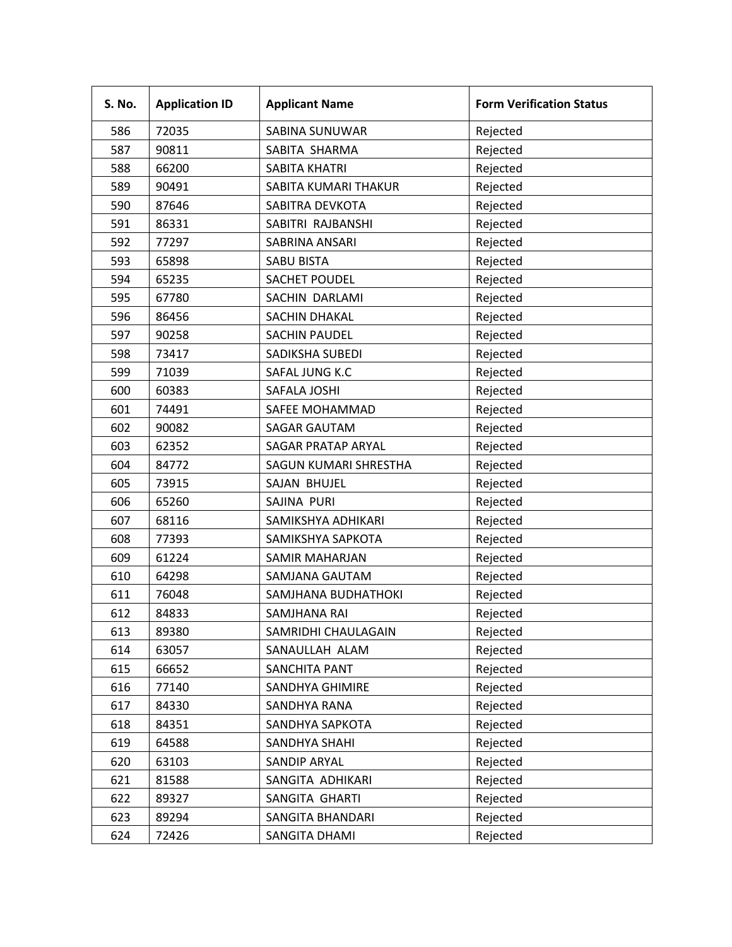| S. No. | <b>Application ID</b> | <b>Applicant Name</b> | <b>Form Verification Status</b> |
|--------|-----------------------|-----------------------|---------------------------------|
| 586    | 72035                 | SABINA SUNUWAR        | Rejected                        |
| 587    | 90811                 | SABITA SHARMA         | Rejected                        |
| 588    | 66200                 | <b>SABITA KHATRI</b>  | Rejected                        |
| 589    | 90491                 | SABITA KUMARI THAKUR  | Rejected                        |
| 590    | 87646                 | SABITRA DEVKOTA       | Rejected                        |
| 591    | 86331                 | SABITRI RAJBANSHI     | Rejected                        |
| 592    | 77297                 | SABRINA ANSARI        | Rejected                        |
| 593    | 65898                 | <b>SABU BISTA</b>     | Rejected                        |
| 594    | 65235                 | <b>SACHET POUDEL</b>  | Rejected                        |
| 595    | 67780                 | SACHIN DARLAMI        | Rejected                        |
| 596    | 86456                 | SACHIN DHAKAL         | Rejected                        |
| 597    | 90258                 | <b>SACHIN PAUDEL</b>  | Rejected                        |
| 598    | 73417                 | SADIKSHA SUBEDI       | Rejected                        |
| 599    | 71039                 | SAFAL JUNG K.C        | Rejected                        |
| 600    | 60383                 | SAFALA JOSHI          | Rejected                        |
| 601    | 74491                 | SAFEE MOHAMMAD        | Rejected                        |
| 602    | 90082                 | <b>SAGAR GAUTAM</b>   | Rejected                        |
| 603    | 62352                 | SAGAR PRATAP ARYAL    | Rejected                        |
| 604    | 84772                 | SAGUN KUMARI SHRESTHA | Rejected                        |
| 605    | 73915                 | SAJAN BHUJEL          | Rejected                        |
| 606    | 65260                 | SAJINA PURI           | Rejected                        |
| 607    | 68116                 | SAMIKSHYA ADHIKARI    | Rejected                        |
| 608    | 77393                 | SAMIKSHYA SAPKOTA     | Rejected                        |
| 609    | 61224                 | <b>SAMIR MAHARJAN</b> | Rejected                        |
| 610    | 64298                 | SAMJANA GAUTAM        | Rejected                        |
| 611    | 76048                 | SAMJHANA BUDHATHOKI   | Rejected                        |
| 612    | 84833                 | SAMJHANA RAI          | Rejected                        |
| 613    | 89380                 | SAMRIDHI CHAULAGAIN   | Rejected                        |
| 614    | 63057                 | SANAULLAH ALAM        | Rejected                        |
| 615    | 66652                 | SANCHITA PANT         | Rejected                        |
| 616    | 77140                 | SANDHYA GHIMIRE       | Rejected                        |
| 617    | 84330                 | SANDHYA RANA          | Rejected                        |
| 618    | 84351                 | SANDHYA SAPKOTA       | Rejected                        |
| 619    | 64588                 | SANDHYA SHAHI         | Rejected                        |
| 620    | 63103                 | SANDIP ARYAL          | Rejected                        |
| 621    | 81588                 | SANGITA ADHIKARI      | Rejected                        |
| 622    | 89327                 | SANGITA GHARTI        | Rejected                        |
| 623    | 89294                 | SANGITA BHANDARI      | Rejected                        |
| 624    | 72426                 | SANGITA DHAMI         | Rejected                        |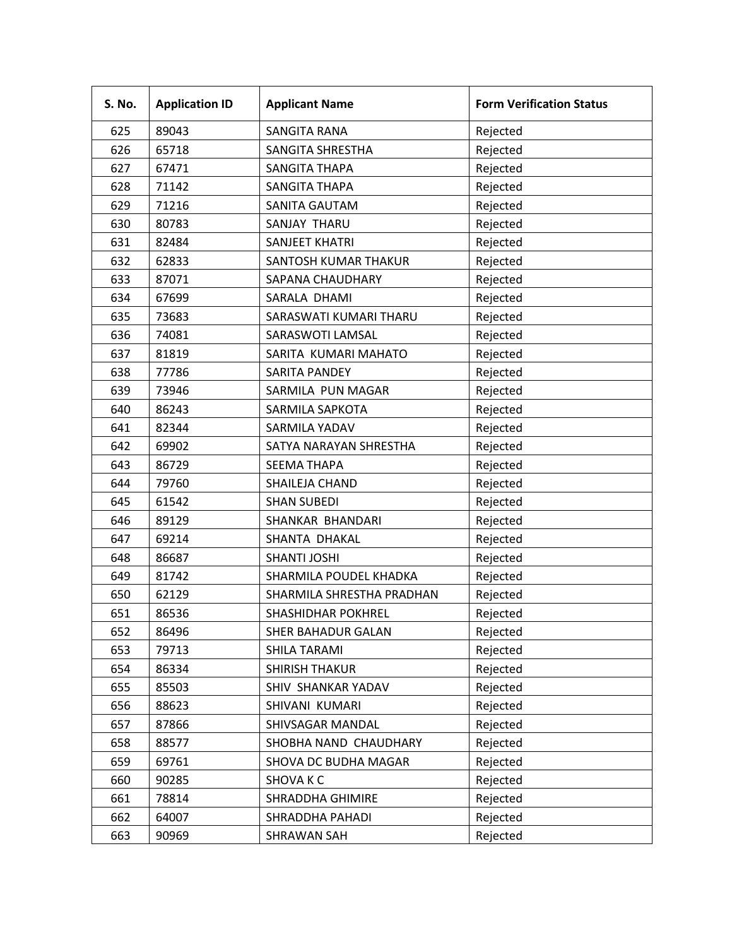| S. No. | <b>Application ID</b> | <b>Applicant Name</b>     | <b>Form Verification Status</b> |
|--------|-----------------------|---------------------------|---------------------------------|
| 625    | 89043                 | SANGITA RANA              | Rejected                        |
| 626    | 65718                 | SANGITA SHRESTHA          | Rejected                        |
| 627    | 67471                 | <b>SANGITA THAPA</b>      | Rejected                        |
| 628    | 71142                 | <b>SANGITA THAPA</b>      | Rejected                        |
| 629    | 71216                 | SANITA GAUTAM             | Rejected                        |
| 630    | 80783                 | SANJAY THARU              | Rejected                        |
| 631    | 82484                 | <b>SANJEET KHATRI</b>     | Rejected                        |
| 632    | 62833                 | SANTOSH KUMAR THAKUR      | Rejected                        |
| 633    | 87071                 | SAPANA CHAUDHARY          | Rejected                        |
| 634    | 67699                 | SARALA DHAMI              | Rejected                        |
| 635    | 73683                 | SARASWATI KUMARI THARU    | Rejected                        |
| 636    | 74081                 | SARASWOTI LAMSAL          | Rejected                        |
| 637    | 81819                 | SARITA KUMARI MAHATO      | Rejected                        |
| 638    | 77786                 | <b>SARITA PANDEY</b>      | Rejected                        |
| 639    | 73946                 | SARMILA PUN MAGAR         | Rejected                        |
| 640    | 86243                 | SARMILA SAPKOTA           | Rejected                        |
| 641    | 82344                 | SARMILA YADAV             | Rejected                        |
| 642    | 69902                 | SATYA NARAYAN SHRESTHA    | Rejected                        |
| 643    | 86729                 | <b>SEEMA THAPA</b>        | Rejected                        |
| 644    | 79760                 | SHAILEJA CHAND            | Rejected                        |
| 645    | 61542                 | <b>SHAN SUBEDI</b>        | Rejected                        |
| 646    | 89129                 | SHANKAR BHANDARI          | Rejected                        |
| 647    | 69214                 | SHANTA DHAKAL             | Rejected                        |
| 648    | 86687                 | <b>SHANTI JOSHI</b>       | Rejected                        |
| 649    | 81742                 | SHARMILA POUDEL KHADKA    | Rejected                        |
| 650    | 62129                 | SHARMILA SHRESTHA PRADHAN | Rejected                        |
| 651    | 86536                 | <b>SHASHIDHAR POKHREL</b> | Rejected                        |
| 652    | 86496                 | SHER BAHADUR GALAN        | Rejected                        |
| 653    | 79713                 | SHILA TARAMI              | Rejected                        |
| 654    | 86334                 | <b>SHIRISH THAKUR</b>     | Rejected                        |
| 655    | 85503                 | SHIV SHANKAR YADAV        | Rejected                        |
| 656    | 88623                 | SHIVANI KUMARI            | Rejected                        |
| 657    | 87866                 | SHIVSAGAR MANDAL          | Rejected                        |
| 658    | 88577                 | SHOBHA NAND CHAUDHARY     | Rejected                        |
| 659    | 69761                 | SHOVA DC BUDHA MAGAR      | Rejected                        |
| 660    | 90285                 | SHOVA K C                 | Rejected                        |
| 661    | 78814                 | SHRADDHA GHIMIRE          | Rejected                        |
| 662    | 64007                 | SHRADDHA PAHADI           | Rejected                        |
| 663    | 90969                 | SHRAWAN SAH               | Rejected                        |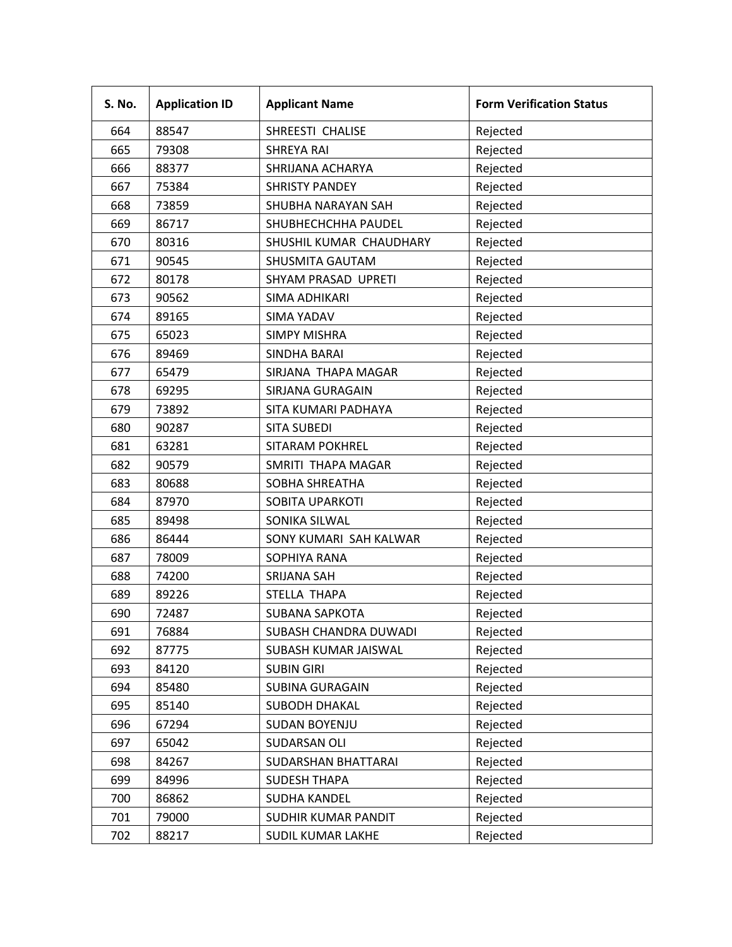| S. No. | <b>Application ID</b> | <b>Applicant Name</b>      | <b>Form Verification Status</b> |
|--------|-----------------------|----------------------------|---------------------------------|
| 664    | 88547                 | SHREESTI CHALISE           | Rejected                        |
| 665    | 79308                 | <b>SHREYA RAI</b>          | Rejected                        |
| 666    | 88377                 | SHRIJANA ACHARYA           | Rejected                        |
| 667    | 75384                 | <b>SHRISTY PANDEY</b>      | Rejected                        |
| 668    | 73859                 | SHUBHA NARAYAN SAH         | Rejected                        |
| 669    | 86717                 | SHUBHECHCHHA PAUDEL        | Rejected                        |
| 670    | 80316                 | SHUSHIL KUMAR CHAUDHARY    | Rejected                        |
| 671    | 90545                 | SHUSMITA GAUTAM            | Rejected                        |
| 672    | 80178                 | SHYAM PRASAD UPRETI        | Rejected                        |
| 673    | 90562                 | SIMA ADHIKARI              | Rejected                        |
| 674    | 89165                 | <b>SIMA YADAV</b>          | Rejected                        |
| 675    | 65023                 | <b>SIMPY MISHRA</b>        | Rejected                        |
| 676    | 89469                 | SINDHA BARAI               | Rejected                        |
| 677    | 65479                 | SIRJANA THAPA MAGAR        | Rejected                        |
| 678    | 69295                 | SIRJANA GURAGAIN           | Rejected                        |
| 679    | 73892                 | SITA KUMARI PADHAYA        | Rejected                        |
| 680    | 90287                 | <b>SITA SUBEDI</b>         | Rejected                        |
| 681    | 63281                 | SITARAM POKHREL            | Rejected                        |
| 682    | 90579                 | SMRITI THAPA MAGAR         | Rejected                        |
| 683    | 80688                 | SOBHA SHREATHA             | Rejected                        |
| 684    | 87970                 | SOBITA UPARKOTI            | Rejected                        |
| 685    | 89498                 | SONIKA SILWAL              | Rejected                        |
| 686    | 86444                 | SONY KUMARI SAH KALWAR     | Rejected                        |
| 687    | 78009                 | SOPHIYA RANA               | Rejected                        |
| 688    | 74200                 | <b>SRIJANA SAH</b>         | Rejected                        |
| 689    | 89226                 | STELLA THAPA               | Rejected                        |
| 690    | 72487                 | SUBANA SAPKOTA             | Rejected                        |
| 691    | 76884                 | SUBASH CHANDRA DUWADI      | Rejected                        |
| 692    | 87775                 | SUBASH KUMAR JAISWAL       | Rejected                        |
| 693    | 84120                 | <b>SUBIN GIRI</b>          | Rejected                        |
| 694    | 85480                 | <b>SUBINA GURAGAIN</b>     | Rejected                        |
| 695    | 85140                 | SUBODH DHAKAL              | Rejected                        |
| 696    | 67294                 | SUDAN BOYENJU              | Rejected                        |
| 697    | 65042                 | SUDARSAN OLI               | Rejected                        |
| 698    | 84267                 | <b>SUDARSHAN BHATTARAI</b> | Rejected                        |
| 699    | 84996                 | <b>SUDESH THAPA</b>        | Rejected                        |
| 700    | 86862                 | <b>SUDHA KANDEL</b>        | Rejected                        |
| 701    | 79000                 | SUDHIR KUMAR PANDIT        | Rejected                        |
| 702    | 88217                 | SUDIL KUMAR LAKHE          | Rejected                        |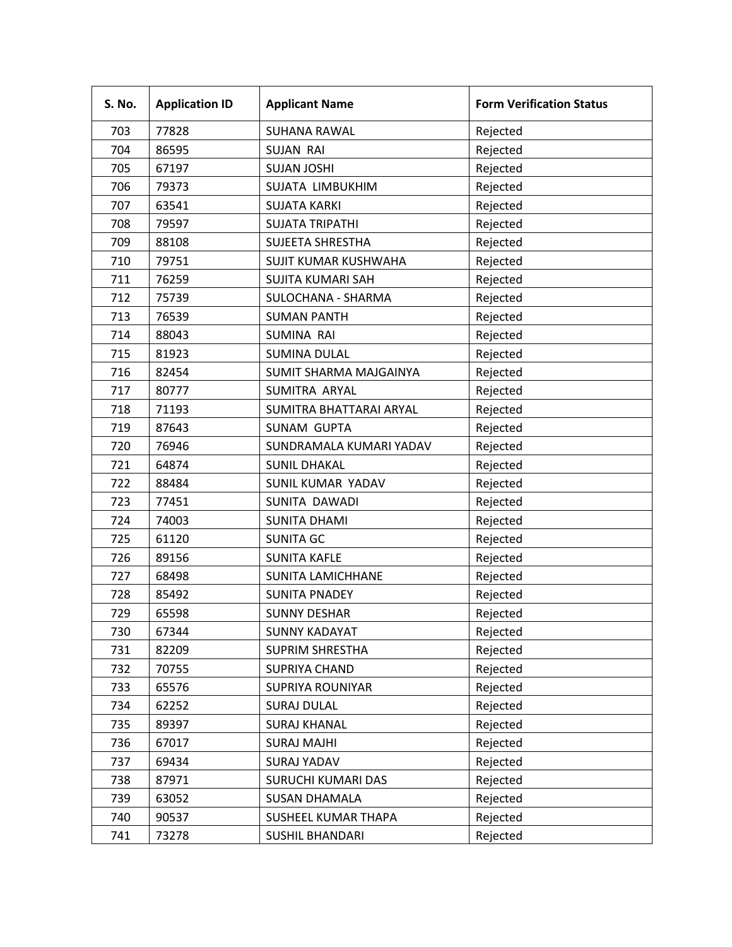| S. No. | <b>Application ID</b> | <b>Applicant Name</b>    | <b>Form Verification Status</b> |
|--------|-----------------------|--------------------------|---------------------------------|
| 703    | 77828                 | <b>SUHANA RAWAL</b>      | Rejected                        |
| 704    | 86595                 | <b>SUJAN RAI</b>         | Rejected                        |
| 705    | 67197                 | <b>SUJAN JOSHI</b>       | Rejected                        |
| 706    | 79373                 | SUJATA LIMBUKHIM         | Rejected                        |
| 707    | 63541                 | <b>SUJATA KARKI</b>      | Rejected                        |
| 708    | 79597                 | <b>SUJATA TRIPATHI</b>   | Rejected                        |
| 709    | 88108                 | <b>SUJEETA SHRESTHA</b>  | Rejected                        |
| 710    | 79751                 | SUJIT KUMAR KUSHWAHA     | Rejected                        |
| 711    | 76259                 | <b>SUJITA KUMARI SAH</b> | Rejected                        |
| 712    | 75739                 | SULOCHANA - SHARMA       | Rejected                        |
| 713    | 76539                 | <b>SUMAN PANTH</b>       | Rejected                        |
| 714    | 88043                 | <b>SUMINA RAI</b>        | Rejected                        |
| 715    | 81923                 | <b>SUMINA DULAL</b>      | Rejected                        |
| 716    | 82454                 | SUMIT SHARMA MAJGAINYA   | Rejected                        |
| 717    | 80777                 | SUMITRA ARYAL            | Rejected                        |
| 718    | 71193                 | SUMITRA BHATTARAI ARYAL  | Rejected                        |
| 719    | 87643                 | <b>SUNAM GUPTA</b>       | Rejected                        |
| 720    | 76946                 | SUNDRAMALA KUMARI YADAV  | Rejected                        |
| 721    | 64874                 | <b>SUNIL DHAKAL</b>      | Rejected                        |
| 722    | 88484                 | SUNIL KUMAR YADAV        | Rejected                        |
| 723    | 77451                 | SUNITA DAWADI            | Rejected                        |
| 724    | 74003                 | <b>SUNITA DHAMI</b>      | Rejected                        |
| 725    | 61120                 | <b>SUNITA GC</b>         | Rejected                        |
| 726    | 89156                 | <b>SUNITA KAFLE</b>      | Rejected                        |
| 727    | 68498                 | <b>SUNITA LAMICHHANE</b> | Rejected                        |
| 728    | 85492                 | <b>SUNITA PNADEY</b>     | Rejected                        |
| 729    | 65598                 | <b>SUNNY DESHAR</b>      | Rejected                        |
| 730    | 67344                 | <b>SUNNY KADAYAT</b>     | Rejected                        |
| 731    | 82209                 | <b>SUPRIM SHRESTHA</b>   | Rejected                        |
| 732    | 70755                 | <b>SUPRIYA CHAND</b>     | Rejected                        |
| 733    | 65576                 | <b>SUPRIYA ROUNIYAR</b>  | Rejected                        |
| 734    | 62252                 | <b>SURAJ DULAL</b>       | Rejected                        |
| 735    | 89397                 | <b>SURAJ KHANAL</b>      | Rejected                        |
| 736    | 67017                 | <b>SURAJ MAJHI</b>       | Rejected                        |
| 737    | 69434                 | <b>SURAJ YADAV</b>       | Rejected                        |
| 738    | 87971                 | SURUCHI KUMARI DAS       | Rejected                        |
| 739    | 63052                 | <b>SUSAN DHAMALA</b>     | Rejected                        |
| 740    | 90537                 | SUSHEEL KUMAR THAPA      | Rejected                        |
| 741    | 73278                 | <b>SUSHIL BHANDARI</b>   | Rejected                        |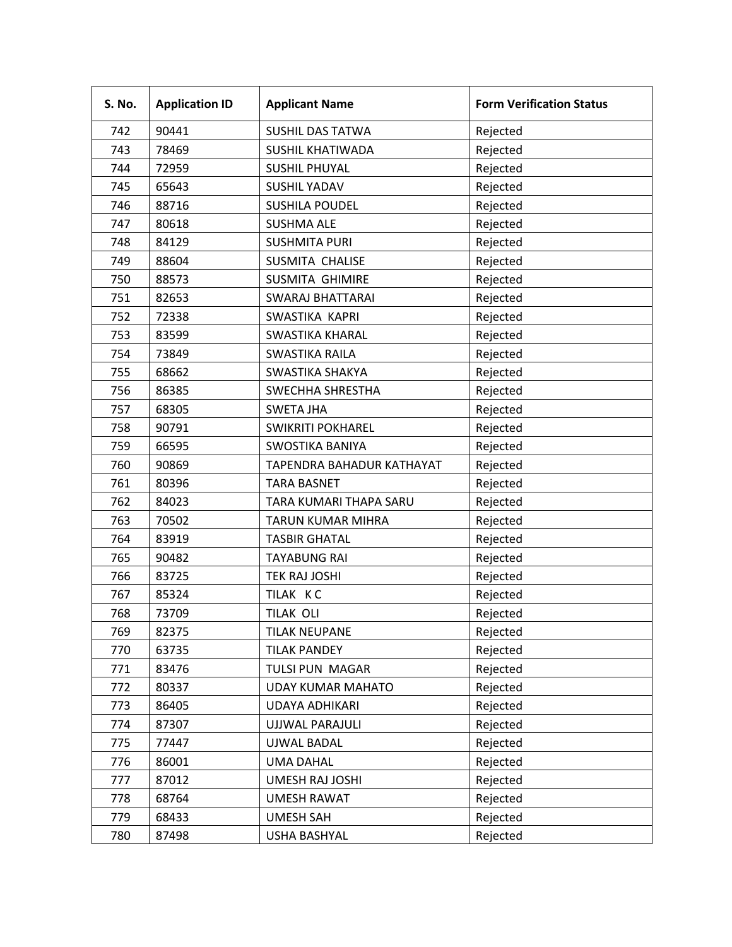| S. No. | <b>Application ID</b> | <b>Applicant Name</b>     | <b>Form Verification Status</b> |
|--------|-----------------------|---------------------------|---------------------------------|
| 742    | 90441                 | <b>SUSHIL DAS TATWA</b>   | Rejected                        |
| 743    | 78469                 | SUSHIL KHATIWADA          | Rejected                        |
| 744    | 72959                 | <b>SUSHIL PHUYAL</b>      | Rejected                        |
| 745    | 65643                 | <b>SUSHIL YADAV</b>       | Rejected                        |
| 746    | 88716                 | <b>SUSHILA POUDEL</b>     | Rejected                        |
| 747    | 80618                 | <b>SUSHMA ALE</b>         | Rejected                        |
| 748    | 84129                 | <b>SUSHMITA PURI</b>      | Rejected                        |
| 749    | 88604                 | SUSMITA CHALISE           | Rejected                        |
| 750    | 88573                 | <b>SUSMITA GHIMIRE</b>    | Rejected                        |
| 751    | 82653                 | <b>SWARAJ BHATTARAI</b>   | Rejected                        |
| 752    | 72338                 | SWASTIKA KAPRI            | Rejected                        |
| 753    | 83599                 | <b>SWASTIKA KHARAL</b>    | Rejected                        |
| 754    | 73849                 | <b>SWASTIKA RAILA</b>     | Rejected                        |
| 755    | 68662                 | SWASTIKA SHAKYA           | Rejected                        |
| 756    | 86385                 | SWECHHA SHRESTHA          | Rejected                        |
| 757    | 68305                 | <b>SWETA JHA</b>          | Rejected                        |
| 758    | 90791                 | <b>SWIKRITI POKHAREL</b>  | Rejected                        |
| 759    | 66595                 | <b>SWOSTIKA BANIYA</b>    | Rejected                        |
| 760    | 90869                 | TAPENDRA BAHADUR KATHAYAT | Rejected                        |
| 761    | 80396                 | <b>TARA BASNET</b>        | Rejected                        |
| 762    | 84023                 | TARA KUMARI THAPA SARU    | Rejected                        |
| 763    | 70502                 | <b>TARUN KUMAR MIHRA</b>  | Rejected                        |
| 764    | 83919                 | <b>TASBIR GHATAL</b>      | Rejected                        |
| 765    | 90482                 | <b>TAYABUNG RAI</b>       | Rejected                        |
| 766    | 83725                 | <b>TEK RAJ JOSHI</b>      | Rejected                        |
| 767    | 85324                 | TILAK KC                  | Rejected                        |
| 768    | 73709                 | <b>TILAK OLI</b>          | Rejected                        |
| 769    | 82375                 | TILAK NEUPANE             | Rejected                        |
| 770    | 63735                 | <b>TILAK PANDEY</b>       | Rejected                        |
| 771    | 83476                 | TULSI PUN MAGAR           | Rejected                        |
| 772    | 80337                 | <b>UDAY KUMAR MAHATO</b>  | Rejected                        |
| 773    | 86405                 | <b>UDAYA ADHIKARI</b>     | Rejected                        |
| 774    | 87307                 | UJJWAL PARAJULI           | Rejected                        |
| 775    | 77447                 | UJWAL BADAL               | Rejected                        |
| 776    | 86001                 | <b>UMA DAHAL</b>          | Rejected                        |
| 777    | 87012                 | <b>UMESH RAJ JOSHI</b>    | Rejected                        |
| 778    | 68764                 | <b>UMESH RAWAT</b>        | Rejected                        |
| 779    | 68433                 | <b>UMESH SAH</b>          | Rejected                        |
| 780    | 87498                 | <b>USHA BASHYAL</b>       | Rejected                        |